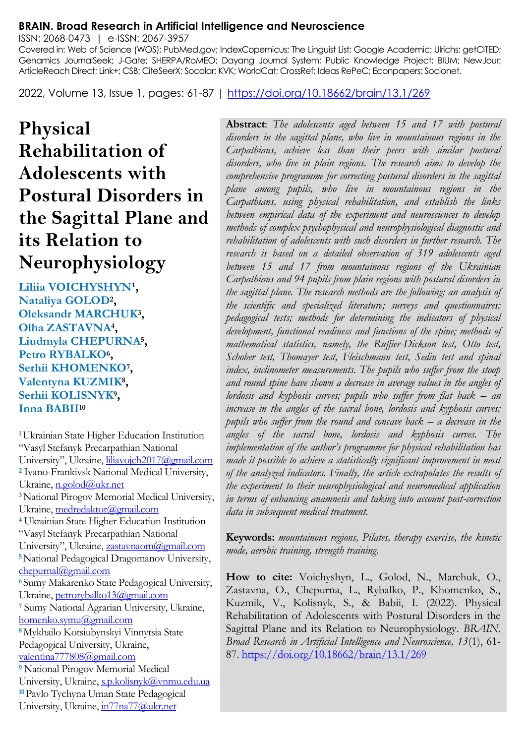#### **BRAIN. Broad Research in Artificial Intelligence and Neuroscience**

ISSN: 2068-0473 | e-ISSN: 2067-3957

Covered in: Web of Science (WOS); PubMed.gov; IndexCopernicus; The Linguist List; Google Academic; Ulrichs; getCITED; Genamics JournalSeek; J-Gate; SHERPA/RoMEO; Dayang Journal System; Public Knowledge Project; BIUM; NewJour; ArticleReach Direct; Link+; CSB; CiteSeerX; Socolar; KVK; WorldCat; CrossRef; Ideas RePeC; Econpapers; Socionet.

2022, Volume 13, Issue 1, pages: 61-87 |<https://doi.org/10.18662/brain/13.1/269>

# **Physical Rehabilitation of Adolescents with Postural Disorders in the Sagittal Plane and its Relation to Neurophysiology**

Liliia VOICHYSHYN<sup>1</sup>, **Nataliya GOLOD<sup>2</sup> , Oleksandr MARCHUK<sup>3</sup> , Olha ZASTAVNA<sup>4</sup> , Liudmyla CHEPURNA<sup>5</sup> , Petro RYBALKO<sup>6</sup> , Serhii KHOMENKO<sup>7</sup> , Valentyna KUZMIK<sup>8</sup> , Serhiі KOLISNYK<sup>9</sup> , Inna BABII<sup>10</sup>**

**<sup>1</sup>**Ukrainian State Higher Education Institution "Vasyl Stefanyk Precarpathian National University", Ukraine, [liliavojch2017@gmail.com](mailto:liliavojch2017@gmail.com) **<sup>2</sup>** Ivano-Frankivsk National Medical University, Ukraine[, n.golod@ukr.net](mailto:n.golod@ukr.net) **<sup>3</sup>**National Pirogov Memorial Medical University, Ukraine[, medredaktor@gmail.com](mailto:medredaktor@gmail.com) **<sup>4</sup>** Ukrainian State Higher Education Institution "Vasyl Stefanyk Precarpathian National University", Ukraine, [zastavnaom@gmail.com](mailto:zastavnaom@gmail.com) **<sup>5</sup>**National Pedagogical Dragomanov University, [chepurnal@gmail.com](mailto:chepurnal@gmail.com) **<sup>6</sup>**Sumy Makarenko State Pedagogical University, Ukraine[, petrorybalko13@gmail.com](mailto:petrorybalko13@gmail.com) **<sup>7</sup>** Sumy National Agrarian University, Ukraine, [homenko.symu@gmail.com](mailto:homenko.symu@gmail.com) **<sup>8</sup>**Мykhailo Kotsiubynskyi Vinnytsia State Pedagogical University, Ukraine, [valentina777808@gmail.com](mailto:valentina777808@gmail.com) **<sup>9</sup>** National Pirogov Memorial Medical University, Ukraine[, s.p.kolisnyk@vnmu.edu.ua](mailto:s.p.kolisnyk@vnmu.edu.ua) **<sup>10</sup>**Pavlo Tychyna Uman State Pedagogical University, Ukraine[, in77na77@ukr.net](mailto:in77na77@ukr.net)

**Abstract**: *The adolescents aged between 15 and 17 with postural disorders in the sagittal plane, who live in mountainous regions in the Carpathians, achieve less than their peers with similar postural disorders, who live in plain regions. The research aims to develop the comprehensive programme for correcting postural disorders in the sagittal plane among pupils, who live in mountainous regions in the Carpathians, using physical rehabilitation, and establish the links between empirical data of the experiment and neurosciences to develop methods of complex psychophysical and neurophysiological diagnostic and rehabilitation of adolescents with such disorders in further research. The research is based on a detailed observation of 319 adolescents aged between 15 and 17 from mountainous regions of the Ukrainian Carpathians and 94 pupils from plain regions with postural disorders in the sagittal plane. The research methods are the following: an analysis of the scientific and specialized literature; surveys and questionnaires; pedagogical tests; methods for determining the indicators of physical development, functional readiness and functions of the spine; methods of mathematical statistics, namely, the Ruffier-Dickson test, Otto test, Schober test, Thomayer test, Fleischmann test, Sedin test and spinal index, inclinometer measurements. The pupils who suffer from the stoop and round spine have shown a decrease in average values in the angles of lordosis and kyphosis curves; pupils who suffer from flat back – an increase in the angles of the sacral bone, lordosis and kyphosis curves; pupils who suffer from the round and concave back – a decrease in the angles of the sacral bone, lordosis and kyphosis curves. The implementation of the author's programme for physical rehabilitation has made it possible to achieve a statistically significant improvement in most of the analyzed indicators. Finally, the article extrapolates the results of the experiment to their neurophysiological and neuromedical application in terms of enhancing anamnesis and taking into account post-correction data in subsequent medical treatment.*

**Keywords:** *mountainous regions, Pilates, therapy exercise, the kinetic mode, aerobic training, strength training.*

**How to cite:** Voichyshyn, L., Golod, N., Marchuk, O., Zastavna, O., Chepurna, L., Rybalko, P., Khomenko, S., Kuzmik, V., Kolisnyk, S., & Babii, I. (2022). Physical Rehabilitation of Adolescents with Postural Disorders in the Sagittal Plane and its Relation to Neurophysiology. *BRAIN. Broad Research in Artificial Intelligence and Neuroscience, 13*(1), 61- 87.<https://doi.org/10.18662/brain/13.1/269>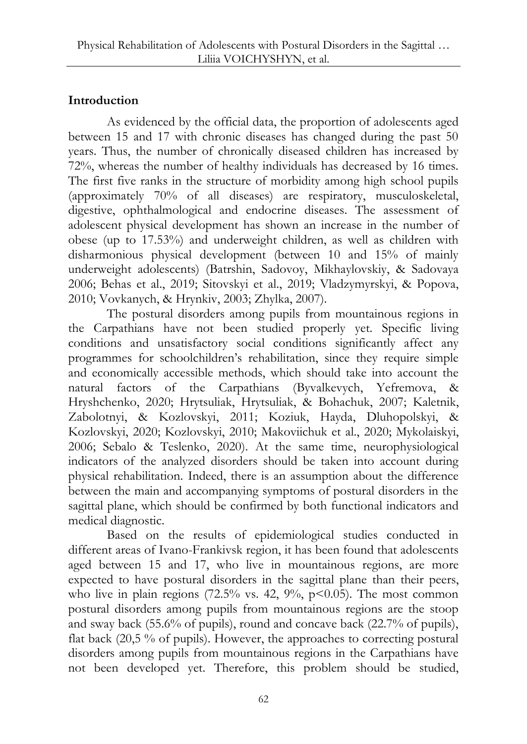# **Introduction**

As evidenced by the official data, the proportion of adolescents aged between 15 and 17 with chronic diseases has changed during the past 50 years. Thus, the number of chronically diseased children has increased by 72%, whereas the number of healthy individuals has decreased by 16 times. The first five ranks in the structure of morbidity among high school pupils (approximately 70% of all diseases) are respiratory, musculoskeletal, digestive, ophthalmological and endocrine diseases. The assessment of adolescent physical development has shown an increase in the number of obese (up to 17.53%) and underweight children, as well as children with disharmonious physical development (between 10 and 15% of mainly underweight adolescents) (Batrshin, Sadovoy, Mikhaylovskiy, & Sadovaya 2006; Behas et al., 2019; Sitovskyi et al., 2019; Vladzymyrskyi, & Popova, 2010; Vovkanych, & Hrynkiv, 2003; Zhylka, 2007).

The postural disorders among pupils from mountainous regions in the Carpathians have not been studied properly yet. Specific living conditions and unsatisfactory social conditions significantly affect any programmes for schoolchildren's rehabilitation, since they require simple and economically accessible methods, which should take into account the natural factors of the Carpathians (Byvalkevych, Yefremova, & Hryshchenko, 2020; Hrytsuliak, Hrytsuliak, & Bohachuk, 2007; Kaletnik, Zabolotnyi, & Kozlovskyi, 2011; Koziuk, Hayda, Dluhopolskyi, & Kozlovskyi, 2020; Kozlovskyi, 2010; Makoviichuk et al., 2020; Mykolaiskyi, 2006; Sebalo & Teslenko, 2020). At the same time, neurophysiological indicators of the analyzed disorders should be taken into account during physical rehabilitation. Indeed, there is an assumption about the difference between the main and accompanying symptoms of postural disorders in the sagittal plane, which should be confirmed by both functional indicators and medical diagnostic.

Based on the results of epidemiological studies conducted in different areas of Ivano-Frankivsk region, it has been found that adolescents aged between 15 and 17, who live in mountainous regions, are more expected to have postural disorders in the sagittal plane than their peers, who live in plain regions  $(72.5\% \text{ vs. } 42, 9\%, \text{ p} < 0.05)$ . The most common postural disorders among pupils from mountainous regions are the stoop and sway back (55.6% of pupils), round and concave back (22.7% of pupils), flat back (20,5 % of pupils). However, the approaches to correcting postural disorders among pupils from mountainous regions in the Carpathians have not been developed yet. Therefore, this problem should be studied,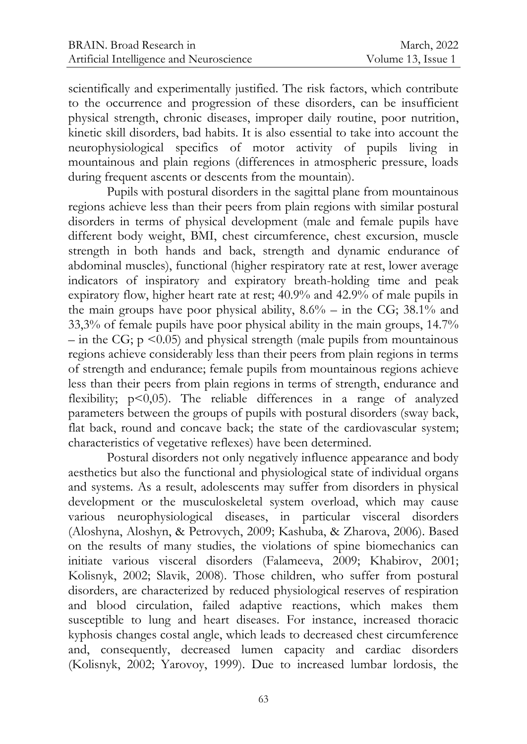scientifically and experimentally justified. The risk factors, which contribute to the occurrence and progression of these disorders, can be insufficient physical strength, chronic diseases, improper daily routine, poor nutrition, kinetic skill disorders, bad habits. It is also essential to take into account the neurophysiological specifics of motor activity of pupils living in mountainous and plain regions (differences in atmospheric pressure, loads during frequent ascents or descents from the mountain).

Pupils with postural disorders in the sagittal plane from mountainous regions achieve less than their peers from plain regions with similar postural disorders in terms of physical development (male and female pupils have different body weight, BMI, chest circumference, chest excursion, muscle strength in both hands and back, strength and dynamic endurance of abdominal muscles), functional (higher respiratory rate at rest, lower average indicators of inspiratory and expiratory breath-holding time and peak expiratory flow, higher heart rate at rest; 40.9% and 42.9% of male pupils in the main groups have poor physical ability,  $8.6\%$  – in the CG; 38.1% and 33,3% of female pupils have poor physical ability in the main groups, 14.7% – in the CG;  $p \leq 0.05$ ) and physical strength (male pupils from mountainous regions achieve considerably less than their peers from plain regions in terms of strength and endurance; female pupils from mountainous regions achieve less than their peers from plain regions in terms of strength, endurance and flexibility; p<0,05). The reliable differences in a range of analyzed parameters between the groups of pupils with postural disorders (sway back, flat back, round and concave back; the state of the cardiovascular system; characteristics of vegetative reflexes) have been determined.

Postural disorders not only negatively influence appearance and body aesthetics but also the functional and physiological state of individual organs and systems. As a result, adolescents may suffer from disorders in physical development or the musculoskeletal system overload, which may cause various neurophysiological diseases, in particular visceral disorders (Aloshyna, Aloshyn, & Petrovych, 2009; Kashuba, & Zharova, 2006). Based on the results of many studies, the violations of spine biomechanics can initiate various visceral disorders (Falameeva, 2009; Khabirov, 2001; Kolisnyk, 2002; Slavik, 2008). Those children, who suffer from postural disorders, are characterized by reduced physiological reserves of respiration and blood circulation, failed adaptive reactions, which makes them susceptible to lung and heart diseases. For instance, increased thoracic kyphosis changes costal angle, which leads to decreased chest circumference and, consequently, decreased lumen capacity and cardiac disorders (Kolisnyk, 2002; Yarovoy, 1999). Due to increased lumbar lordosis, the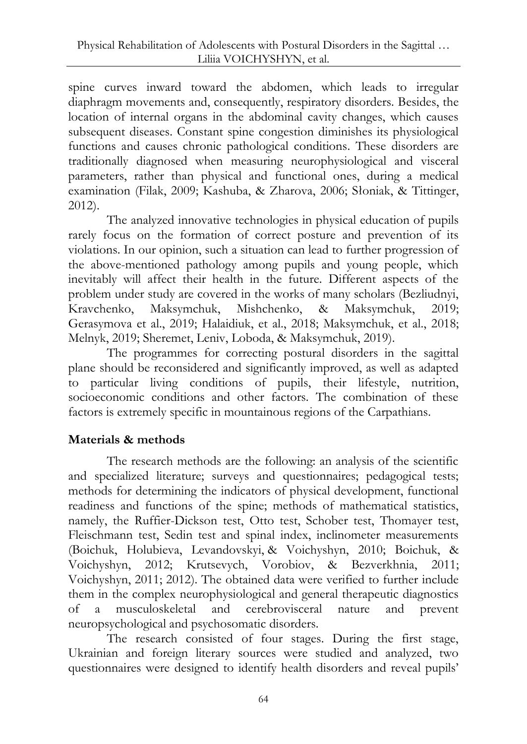spine curves inward toward the abdomen, which leads to irregular diaphragm movements and, consequently, respiratory disorders. Besides, the location of internal organs in the abdominal cavity changes, which causes subsequent diseases. Constant spine congestion diminishes its physiological functions and causes chronic pathological conditions. These disorders are traditionally diagnosed when measuring neurophysiological and visceral parameters, rather than physical and functional ones, during a medical examination (Filak, 2009; Kashuba, & Zharova, 2006; Słoniak, & Tittinger, 2012).

The analyzed innovative technologies in physical education of pupils rarely focus on the formation of correct posture and prevention of its violations. In our opinion, such a situation can lead to further progression of the above-mentioned pathology among pupils and young people, which inevitably will affect their health in the future. Different aspects of the problem under study are covered in the works of many scholars (Bezliudnyi, Kravchenko, Maksymchuk, Mishchenko, & Maksymchuk, 2019; Gerasymova et al., 2019; Halaidiuk, et al., 2018; Maksymchuk, et al., 2018; Melnyk, 2019; Sheremet, Leniv, Loboda, & Maksymchuk, 2019).

The programmes for correcting postural disorders in the sagittal plane should be reconsidered and significantly improved, as well as adapted to particular living conditions of pupils, their lifestyle, nutrition, socioeconomic conditions and other factors. The combination of these factors is extremely specific in mountainous regions of the Carpathians.

# **Materials & methods**

The research methods are the following: an analysis of the scientific and specialized literature; surveys and questionnaires; pedagogical tests; methods for determining the indicators of physical development, functional readiness and functions of the spine; methods of mathematical statistics, namely, the Ruffier-Dickson test, Otto test, Schober test, Thomayer test, Fleischmann test, Sedin test and spinal index, inclinometer measurements (Boichuk, Holubieva, Levandovskyi, & Voichyshyn, 2010; Boichuk, & Voichyshyn, 2012; Krutsevych, Vorobiov, & Bezverkhnia, 2011; Voichyshyn, 2011; 2012). The obtained data were verified to further include them in the complex neurophysiological and general therapeutic diagnostics of a musculoskeletal and cerebrovisceral nature and prevent neuropsychological and psychosomatic disorders.

The research consisted of four stages. During the first stage, Ukrainian and foreign literary sources were studied and analyzed, two questionnaires were designed to identify health disorders and reveal pupils'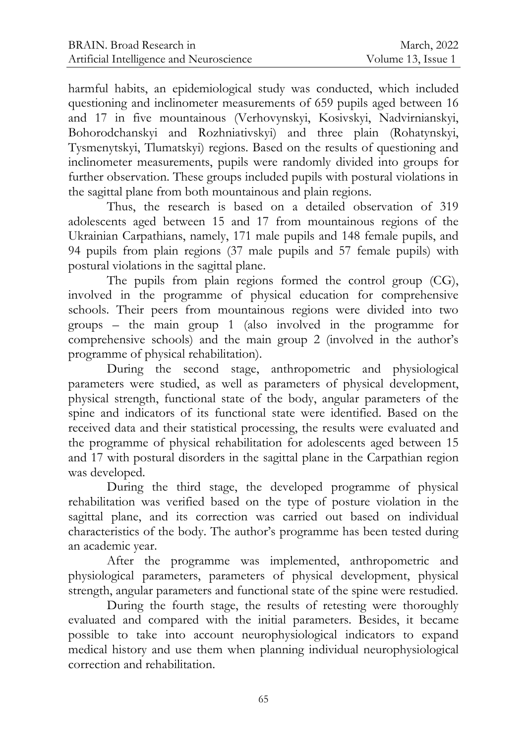harmful habits, an epidemiological study was conducted, which included questioning and inclinometer measurements of 659 pupils aged between 16 and 17 in five mountainous (Verhovynskyi, Kosivskyi, Nadvirnianskyi, Bohorodchanskyi and Rozhniativskyi) and three plain (Rohatynskyi, Tysmenytskyi, Tlumatskyi) regions. Based on the results of questioning and inclinometer measurements, pupils were randomly divided into groups for further observation. These groups included pupils with postural violations in the sagittal plane from both mountainous and plain regions.

Thus, the research is based on a detailed observation of 319 adolescents aged between 15 and 17 from mountainous regions of the Ukrainian Carpathians, namely, 171 male pupils and 148 female pupils, and 94 pupils from plain regions (37 male pupils and 57 female pupils) with postural violations in the sagittal plane.

The pupils from plain regions formed the control group (CG), involved in the programme of physical education for comprehensive schools. Their peers from mountainous regions were divided into two groups – the main group 1 (also involved in the programme for comprehensive schools) and the main group 2 (involved in the author's programme of physical rehabilitation).

During the second stage, anthropometric and physiological parameters were studied, as well as parameters of physical development, physical strength, functional state of the body, angular parameters of the spine and indicators of its functional state were identified. Based on the received data and their statistical processing, the results were evaluated and the programme of physical rehabilitation for adolescents aged between 15 and 17 with postural disorders in the sagittal plane in the Carpathian region was developed.

During the third stage, the developed programme of physical rehabilitation was verified based on the type of posture violation in the sagittal plane, and its correction was carried out based on individual characteristics of the body. The author's programme has been tested during an academic year.

After the programme was implemented, anthropometric and physiological parameters, parameters of physical development, physical strength, angular parameters and functional state of the spine were restudied.

During the fourth stage, the results of retesting were thoroughly evaluated and compared with the initial parameters. Besides, it became possible to take into account neurophysiological indicators to expand medical history and use them when planning individual neurophysiological correction and rehabilitation.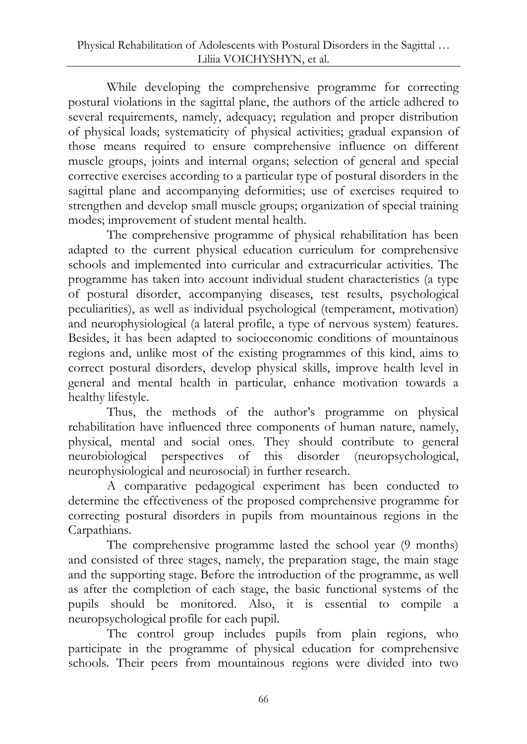While developing the comprehensive programme for correcting postural violations in the sagittal plane, the authors of the article adhered to several requirements, namely, adequacy; regulation and proper distribution of physical loads; systematicity of physical activities; gradual expansion of those means required to ensure comprehensive influence on different muscle groups, joints and internal organs; selection of general and special corrective exercises according to a particular type of postural disorders in the sagittal plane and accompanying deformities; use of exercises required to strengthen and develop small muscle groups; organization of special training modes; improvement of student mental health.

The comprehensive programme of physical rehabilitation has been adapted to the current physical education curriculum for comprehensive schools and implemented into curricular and extracurricular activities. The programme has taken into account individual student characteristics (a type of postural disorder, accompanying diseases, test results, psychological peculiarities), as well as individual psychological (temperament, motivation) and neurophysiological (a lateral profile, a type of nervous system) features. Besides, it has been adapted to socioeconomic conditions of mountainous regions and, unlike most of the existing programmes of this kind, aims to correct postural disorders, develop physical skills, improve health level in general and mental health in particular, enhance motivation towards a healthy lifestyle.

Thus, the methods of the author's programme on physical rehabilitation have influenced three components of human nature, namely, physical, mental and social ones. They should contribute to general neurobiological perspectives of this disorder (neuropsychological, neurophysiological and neurosocial) in further research.

A comparative pedagogical experiment has been conducted to determine the effectiveness of the proposed comprehensive programme for correcting postural disorders in pupils from mountainous regions in the Carpathians.

The comprehensive programme lasted the school year (9 months) and consisted of three stages, namely, the preparation stage, the main stage and the supporting stage. Before the introduction of the programme, as well as after the completion of each stage, the basic functional systems of the pupils should be monitored. Also, it is essential to compile a neuropsychological profile for each pupil.

The control group includes pupils from plain regions, who participate in the programme of physical education for comprehensive schools. Their peers from mountainous regions were divided into two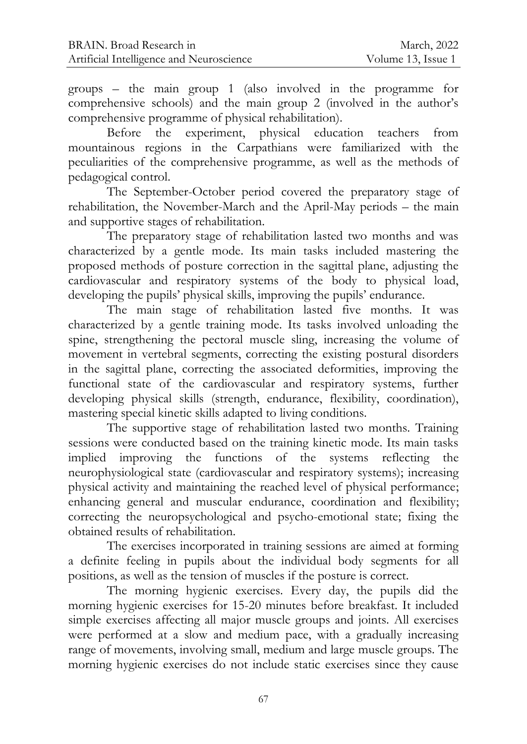groups – the main group 1 (also involved in the programme for comprehensive schools) and the main group 2 (involved in the author's comprehensive programme of physical rehabilitation).

Before the experiment, physical education teachers from mountainous regions in the Carpathians were familiarized with the peculiarities of the comprehensive programme, as well as the methods of pedagogical control.

The September-October period covered the preparatory stage of rehabilitation, the November-March and the April-May periods – the main and supportive stages of rehabilitation.

The preparatory stage of rehabilitation lasted two months and was characterized by a gentle mode. Its main tasks included mastering the proposed methods of posture correction in the sagittal plane, adjusting the cardiovascular and respiratory systems of the body to physical load, developing the pupils' physical skills, improving the pupils' endurance.

The main stage of rehabilitation lasted five months. It was characterized by a gentle training mode. Its tasks involved unloading the spine, strengthening the pectoral muscle sling, increasing the volume of movement in vertebral segments, correcting the existing postural disorders in the sagittal plane, correcting the associated deformities, improving the functional state of the cardiovascular and respiratory systems, further developing physical skills (strength, endurance, flexibility, coordination), mastering special kinetic skills adapted to living conditions.

The supportive stage of rehabilitation lasted two months. Training sessions were conducted based on the training kinetic mode. Its main tasks implied improving the functions of the systems reflecting the neurophysiological state (cardiovascular and respiratory systems); increasing physical activity and maintaining the reached level of physical performance; enhancing general and muscular endurance, coordination and flexibility; correcting the neuropsychological and psycho-emotional state; fixing the obtained results of rehabilitation.

The exercises incorporated in training sessions are aimed at forming a definite feeling in pupils about the individual body segments for all positions, as well as the tension of muscles if the posture is correct.

The morning hygienic exercises. Every day, the pupils did the morning hygienic exercises for 15-20 minutes before breakfast. It included simple exercises affecting all major muscle groups and joints. All exercises were performed at a slow and medium pace, with a gradually increasing range of movements, involving small, medium and large muscle groups. The morning hygienic exercises do not include static exercises since they cause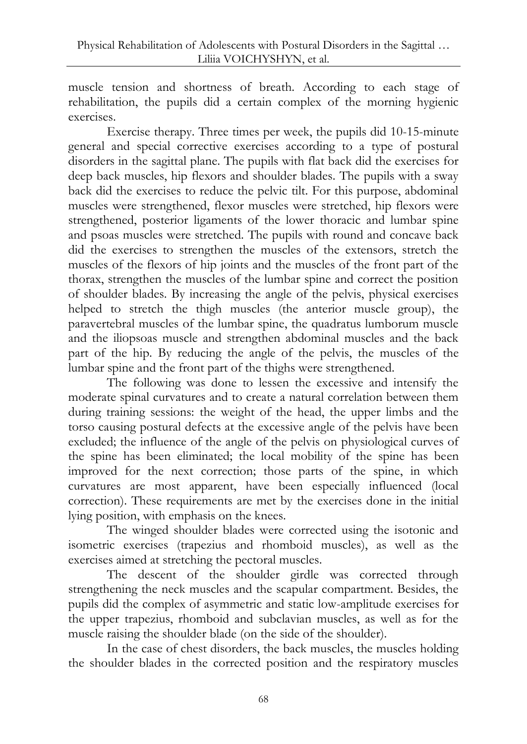muscle tension and shortness of breath. According to each stage of rehabilitation, the pupils did a certain complex of the morning hygienic exercises.

Exercise therapy. Three times per week, the pupils did 10-15-minute general and special corrective exercises according to a type of postural disorders in the sagittal plane. The pupils with flat back did the exercises for deep back muscles, hip flexors and shoulder blades. The pupils with a sway back did the exercises to reduce the pelvic tilt. For this purpose, abdominal muscles were strengthened, flexor muscles were stretched, hip flexors were strengthened, posterior ligaments of the lower thoracic and lumbar spine and psoas muscles were stretched. The pupils with round and concave back did the exercises to strengthen the muscles of the extensors, stretch the muscles of the flexors of hip joints and the muscles of the front part of the thorax, strengthen the muscles of the lumbar spine and correct the position of shoulder blades. By increasing the angle of the pelvis, physical exercises helped to stretch the thigh muscles (the anterior muscle group), the paravertebral muscles of the lumbar spine, the quadratus lumborum muscle and the iliopsoas muscle and strengthen abdominal muscles and the back part of the hip. By reducing the angle of the pelvis, the muscles of the lumbar spine and the front part of the thighs were strengthened.

The following was done to lessen the excessive and intensify the moderate spinal curvatures and to create a natural correlation between them during training sessions: the weight of the head, the upper limbs and the torso causing postural defects at the excessive angle of the pelvis have been excluded; the influence of the angle of the pelvis on physiological curves of the spine has been eliminated; the local mobility of the spine has been improved for the next correction; those parts of the spine, in which curvatures are most apparent, have been especially influenced (local correction). These requirements are met by the exercises done in the initial lying position, with emphasis on the knees.

The winged shoulder blades were corrected using the isotonic and isometric exercises (trapezius and rhomboid muscles), as well as the exercises aimed at stretching the pectoral muscles.

The descent of the shoulder girdle was corrected through strengthening the neck muscles and the scapular compartment. Besides, the pupils did the complex of asymmetric and static low-amplitude exercises for the upper trapezius, rhomboid and subclavian muscles, as well as for the muscle raising the shoulder blade (on the side of the shoulder).

In the case of chest disorders, the back muscles, the muscles holding the shoulder blades in the corrected position and the respiratory muscles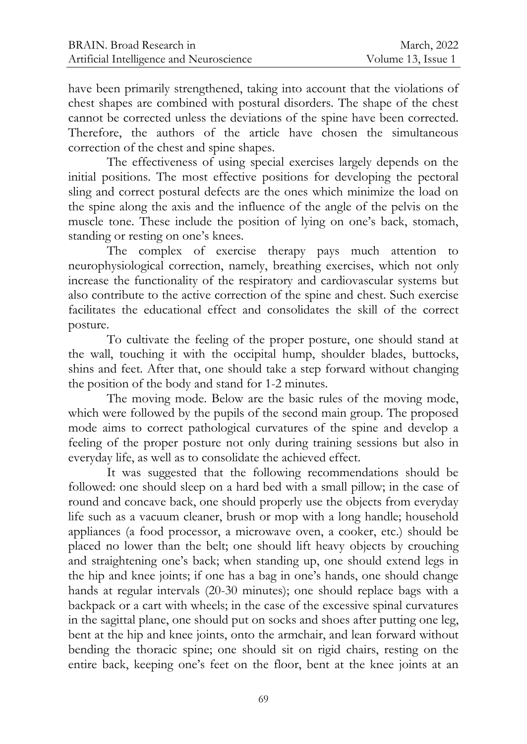have been primarily strengthened, taking into account that the violations of chest shapes are combined with postural disorders. The shape of the chest cannot be corrected unless the deviations of the spine have been corrected. Therefore, the authors of the article have chosen the simultaneous correction of the chest and spine shapes.

The effectiveness of using special exercises largely depends on the initial positions. The most effective positions for developing the pectoral sling and correct postural defects are the ones which minimize the load on the spine along the axis and the influence of the angle of the pelvis on the muscle tone. These include the position of lying on one's back, stomach, standing or resting on one's knees.

The complex of exercise therapy pays much attention to neurophysiological correction, namely, breathing exercises, which not only increase the functionality of the respiratory and cardiovascular systems but also contribute to the active correction of the spine and chest. Such exercise facilitates the educational effect and consolidates the skill of the correct posture.

To cultivate the feeling of the proper posture, one should stand at the wall, touching it with the occipital hump, shoulder blades, buttocks, shins and feet. After that, one should take a step forward without changing the position of the body and stand for 1-2 minutes.

The moving mode. Below are the basic rules of the moving mode, which were followed by the pupils of the second main group. The proposed mode aims to correct pathological curvatures of the spine and develop a feeling of the proper posture not only during training sessions but also in everyday life, as well as to consolidate the achieved effect.

It was suggested that the following recommendations should be followed: one should sleep on a hard bed with a small pillow; in the case of round and concave back, one should properly use the objects from everyday life such as a vacuum cleaner, brush or mop with a long handle; household appliances (a food processor, a microwave oven, a cooker, etc.) should be placed no lower than the belt; one should lift heavy objects by crouching and straightening one's back; when standing up, one should extend legs in the hip and knee joints; if one has a bag in one's hands, one should change hands at regular intervals (20-30 minutes); one should replace bags with a backpack or a cart with wheels; in the case of the excessive spinal curvatures in the sagittal plane, one should put on socks and shoes after putting one leg, bent at the hip and knee joints, onto the armchair, and lean forward without bending the thoracic spine; one should sit on rigid chairs, resting on the entire back, keeping one's feet on the floor, bent at the knee joints at an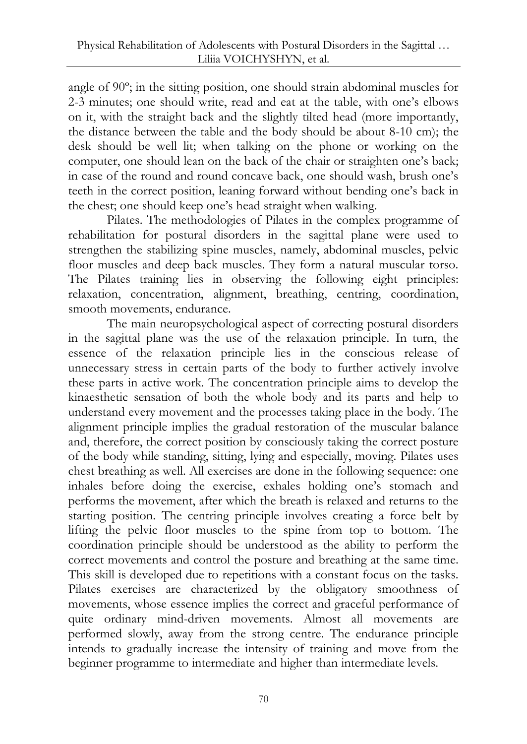angle of 90º; in the sitting position, one should strain abdominal muscles for 2-3 minutes; one should write, read and eat at the table, with one's elbows on it, with the straight back and the slightly tilted head (more importantly, the distance between the table and the body should be about 8-10 cm); the desk should be well lit; when talking on the phone or working on the computer, one should lean on the back of the chair or straighten one's back; in case of the round and round concave back, one should wash, brush one's teeth in the correct position, leaning forward without bending one's back in the chest; one should keep one's head straight when walking.

Pilates. The methodologies of Pilates in the complex programme of rehabilitation for postural disorders in the sagittal plane were used to strengthen the stabilizing spine muscles, namely, abdominal muscles, pelvic floor muscles and deep back muscles. They form a natural muscular torso. The Pilates training lies in observing the following eight principles: relaxation, concentration, alignment, breathing, centring, coordination, smooth movements, endurance.

The main neuropsychological aspect of correcting postural disorders in the sagittal plane was the use of the relaxation principle. In turn, the essence of the relaxation principle lies in the conscious release of unnecessary stress in certain parts of the body to further actively involve these parts in active work. The concentration principle aims to develop the kinaesthetic sensation of both the whole body and its parts and help to understand every movement and the processes taking place in the body. The alignment principle implies the gradual restoration of the muscular balance and, therefore, the correct position by consciously taking the correct posture of the body while standing, sitting, lying and especially, moving. Pilates uses chest breathing as well. All exercises are done in the following sequence: one inhales before doing the exercise, exhales holding one's stomach and performs the movement, after which the breath is relaxed and returns to the starting position. The centring principle involves creating a force belt by lifting the pelvic floor muscles to the spine from top to bottom. The coordination principle should be understood as the ability to perform the correct movements and control the posture and breathing at the same time. This skill is developed due to repetitions with a constant focus on the tasks. Pilates exercises are characterized by the obligatory smoothness of movements, whose essence implies the correct and graceful performance of quite ordinary mind-driven movements. Almost all movements are performed slowly, away from the strong centre. The endurance principle intends to gradually increase the intensity of training and move from the beginner programme to intermediate and higher than intermediate levels.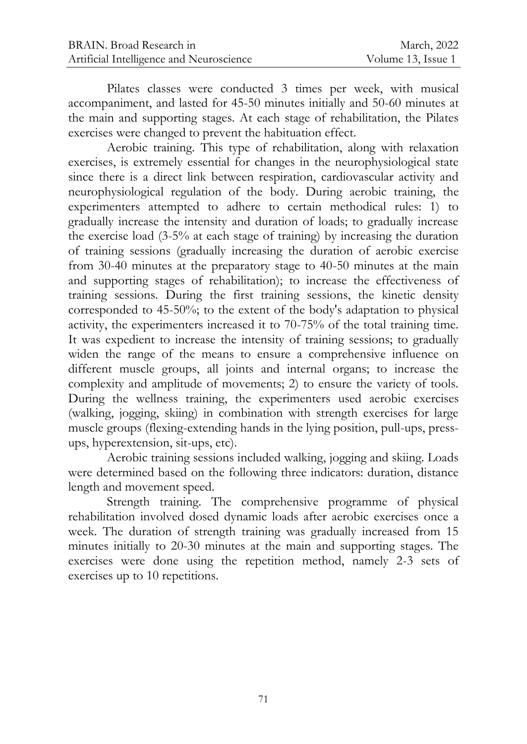Pilates classes were conducted 3 times per week, with musical accompaniment, and lasted for 45-50 minutes initially and 50-60 minutes at the main and supporting stages. At each stage of rehabilitation, the Pilates exercises were changed to prevent the habituation effect.

Aerobic training. This type of rehabilitation, along with relaxation exercises, is extremely essential for changes in the neurophysiological state since there is a direct link between respiration, cardiovascular activity and neurophysiological regulation of the body. During aerobic training, the experimenters attempted to adhere to certain methodical rules: 1) to gradually increase the intensity and duration of loads; to gradually increase the exercise load (3-5% at each stage of training) by increasing the duration of training sessions (gradually increasing the duration of aerobic exercise from 30-40 minutes at the preparatory stage to 40-50 minutes at the main and supporting stages of rehabilitation); to increase the effectiveness of training sessions. During the first training sessions, the kinetic density corresponded to 45-50%; to the extent of the body's adaptation to physical activity, the experimenters increased it to 70-75% of the total training time. It was expedient to increase the intensity of training sessions; to gradually widen the range of the means to ensure a comprehensive influence on different muscle groups, all joints and internal organs; to increase the complexity and amplitude of movements; 2) to ensure the variety of tools. During the wellness training, the experimenters used aerobic exercises (walking, jogging, skiing) in combination with strength exercises for large muscle groups (flexing-extending hands in the lying position, pull-ups, pressups, hyperextension, sit-ups, etc).

Aerobic training sessions included walking, jogging and skiing. Loads were determined based on the following three indicators: duration, distance length and movement speed.

Strength training. The comprehensive programme of physical rehabilitation involved dosed dynamic loads after aerobic exercises once a week. The duration of strength training was gradually increased from 15 minutes initially to 20-30 minutes at the main and supporting stages. The exercises were done using the repetition method, namely 2-3 sets of exercises up to 10 repetitions.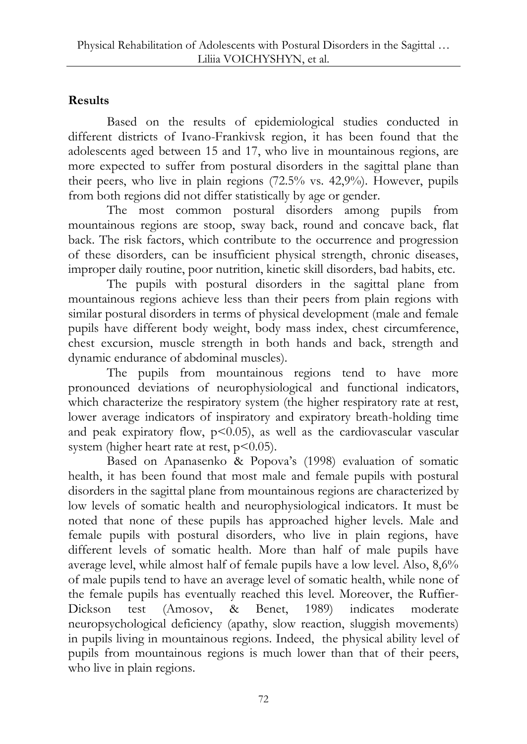# **Results**

Based on the results of epidemiological studies conducted in different districts of Ivano-Frankivsk region, it has been found that the adolescents aged between 15 and 17, who live in mountainous regions, are more expected to suffer from postural disorders in the sagittal plane than their peers, who live in plain regions (72.5% vs. 42,9%). However, pupils from both regions did not differ statistically by age or gender.

The most common postural disorders among pupils from mountainous regions are stoop, sway back, round and concave back, flat back. The risk factors, which contribute to the occurrence and progression of these disorders, can be insufficient physical strength, chronic diseases, improper daily routine, poor nutrition, kinetic skill disorders, bad habits, etc.

The pupils with postural disorders in the sagittal plane from mountainous regions achieve less than their peers from plain regions with similar postural disorders in terms of physical development (male and female pupils have different body weight, body mass index, chest circumference, chest excursion, muscle strength in both hands and back, strength and dynamic endurance of abdominal muscles).

The pupils from mountainous regions tend to have more pronounced deviations of neurophysiological and functional indicators, which characterize the respiratory system (the higher respiratory rate at rest, lower average indicators of inspiratory and expiratory breath-holding time and peak expiratory flow,  $p \le 0.05$ ), as well as the cardiovascular vascular system (higher heart rate at rest,  $p<0.05$ ).

Based on Apanasenko & Popova's (1998) evaluation of somatic health, it has been found that most male and female pupils with postural disorders in the sagittal plane from mountainous regions are characterized by low levels of somatic health and neurophysiological indicators. It must be noted that none of these pupils has approached higher levels. Male and female pupils with postural disorders, who live in plain regions, have different levels of somatic health. More than half of male pupils have average level, while almost half of female pupils have a low level. Also, 8,6% of male pupils tend to have an average level of somatic health, while none of the female pupils has eventually reached this level. Moreover, the Ruffier-Dickson test (Amosov, & Benet, 1989) indicates moderate neuropsychological deficiency (apathy, slow reaction, sluggish movements) in pupils living in mountainous regions. Indeed, the physical ability level of pupils from mountainous regions is much lower than that of their peers, who live in plain regions.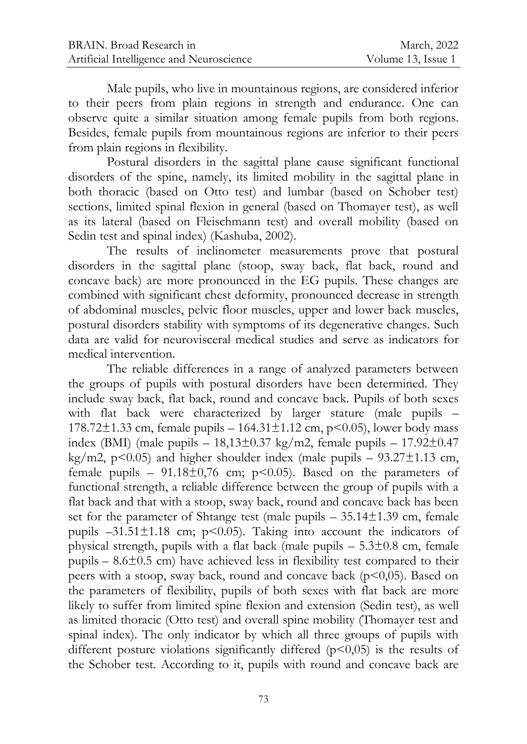Male pupils, who live in mountainous regions, are considered inferior to their peers from plain regions in strength and endurance. One can observe quite a similar situation among female pupils from both regions. Besides, female pupils from mountainous regions are inferior to their peers from plain regions in flexibility.

Postural disorders in the sagittal plane cause significant functional disorders of the spine, namely, its limited mobility in the sagittal plane in both thoracic (based on Otto test) and lumbar (based on Schober test) sections, limited spinal flexion in general (based on Thomayer test), as well as its lateral (based on Fleischmann test) and overall mobility (based on Sedin test and spinal index) (Kashuba, 2002).

The results of inclinometer measurements prove that postural disorders in the sagittal plane (stoop, sway back, flat back, round and concave back) are more pronounced in the EG pupils. These changes are combined with significant chest deformity, pronounced decrease in strength of abdominal muscles, pelvic floor muscles, upper and lower back muscles, postural disorders stability with symptoms of its degenerative changes. Such data are valid for neurovisceral medical studies and serve as indicators for medical intervention.

The reliable differences in a range of analyzed parameters between the groups of pupils with postural disorders have been determined. They include sway back, flat back, round and concave back. Pupils of both sexes with flat back were characterized by larger stature (male pupils – 178.72 $\pm$ 1.33 cm, female pupils – 164.31 $\pm$ 1.12 cm, p<0.05), lower body mass index (BMI) (male pupils –  $18,13\pm0.37$  kg/m2, female pupils –  $17.92\pm0.47$ kg/m2,  $p<0.05$ ) and higher shoulder index (male pupils – 93.27 $\pm$ 1.13 cm, female pupils –  $91.18\pm0.76$  cm; p<0.05). Based on the parameters of functional strength, a reliable difference between the group of pupils with a flat back and that with a stoop, sway back, round and concave back has been set for the parameter of Shtange test (male pupils – 35.14±1.39 cm, female pupils  $-31.51\pm1.18$  cm; p<0.05). Taking into account the indicators of physical strength, pupils with a flat back (male pupils  $-5.3\pm0.8$  cm, female pupils –  $8.6\pm0.5$  cm) have achieved less in flexibility test compared to their peers with a stoop, sway back, round and concave back  $(p<0,05)$ . Based on the parameters of flexibility, pupils of both sexes with flat back are more likely to suffer from limited spine flexion and extension (Sedin test), as well as limited thoracic (Otto test) and overall spine mobility (Thomayer test and spinal index). The only indicator by which all three groups of pupils with different posture violations significantly differed  $(p<0,05)$  is the results of the Schober test. According to it, pupils with round and concave back are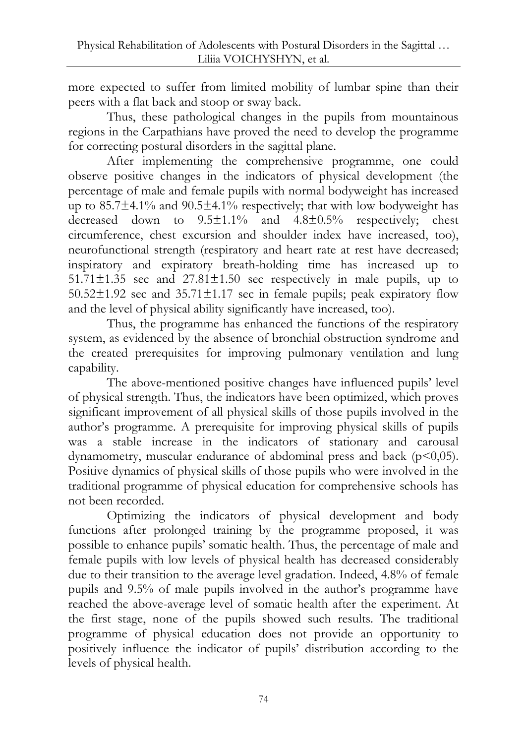more expected to suffer from limited mobility of lumbar spine than their peers with a flat back and stoop or sway back.

Thus, these pathological changes in the pupils from mountainous regions in the Carpathians have proved the need to develop the programme for correcting postural disorders in the sagittal plane.

After implementing the comprehensive programme, one could observe positive changes in the indicators of physical development (the percentage of male and female pupils with normal bodyweight has increased up to 85.7±4.1% and 90.5±4.1% respectively; that with low bodyweight has decreased down to 9.5±1.1% and 4.8±0.5% respectively; chest circumference, chest excursion and shoulder index have increased, too), neurofunctional strength (respiratory and heart rate at rest have decreased; inspiratory and expiratory breath-holding time has increased up to  $51.71\pm1.35$  sec and  $27.81\pm1.50$  sec respectively in male pupils, up to  $50.52\pm1.92$  sec and  $35.71\pm1.17$  sec in female pupils; peak expiratory flow and the level of physical ability significantly have increased, too).

Thus, the programme has enhanced the functions of the respiratory system, as evidenced by the absence of bronchial obstruction syndrome and the created prerequisites for improving pulmonary ventilation and lung capability.

The above-mentioned positive changes have influenced pupils' level of physical strength. Thus, the indicators have been optimized, which proves significant improvement of all physical skills of those pupils involved in the author's programme. A prerequisite for improving physical skills of pupils was a stable increase in the indicators of stationary and carousal dynamometry, muscular endurance of abdominal press and back  $(p<0,05)$ . Positive dynamics of physical skills of those pupils who were involved in the traditional programme of physical education for comprehensive schools has not been recorded.

Optimizing the indicators of physical development and body functions after prolonged training by the programme proposed, it was possible to enhance pupils' somatic health. Thus, the percentage of male and female pupils with low levels of physical health has decreased considerably due to their transition to the average level gradation. Indeed, 4.8% of female pupils and 9.5% of male pupils involved in the author's programme have reached the above-average level of somatic health after the experiment. At the first stage, none of the pupils showed such results. The traditional programme of physical education does not provide an opportunity to positively influence the indicator of pupils' distribution according to the levels of physical health.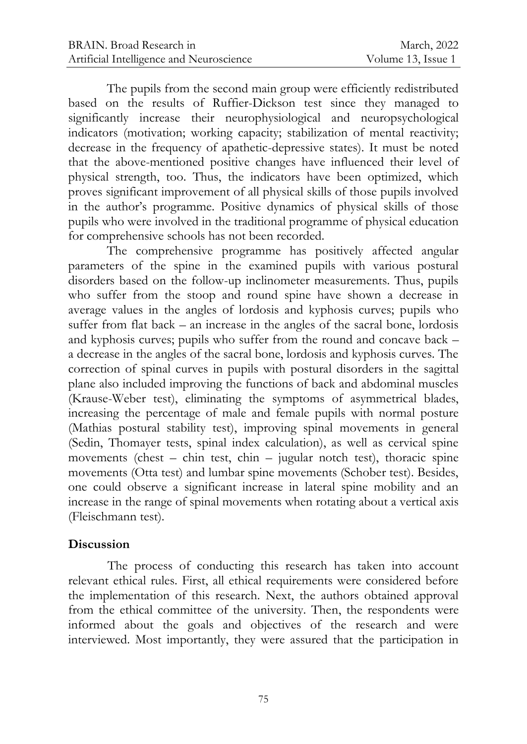The pupils from the second main group were efficiently redistributed based on the results of Ruffier-Dickson test since they managed to significantly increase their neurophysiological and neuropsychological indicators (motivation; working capacity; stabilization of mental reactivity; decrease in the frequency of apathetic-depressive states). It must be noted that the above-mentioned positive changes have influenced their level of physical strength, too. Thus, the indicators have been optimized, which proves significant improvement of all physical skills of those pupils involved in the author's programme. Positive dynamics of physical skills of those pupils who were involved in the traditional programme of physical education for comprehensive schools has not been recorded.

The comprehensive programme has positively affected angular parameters of the spine in the examined pupils with various postural disorders based on the follow-up inclinometer measurements. Thus, pupils who suffer from the stoop and round spine have shown a decrease in average values in the angles of lordosis and kyphosis curves; pupils who suffer from flat back – an increase in the angles of the sacral bone, lordosis and kyphosis curves; pupils who suffer from the round and concave back – a decrease in the angles of the sacral bone, lordosis and kyphosis curves. The correction of spinal curves in pupils with postural disorders in the sagittal plane also included improving the functions of back and abdominal muscles (Krause-Weber test), eliminating the symptoms of asymmetrical blades, increasing the percentage of male and female pupils with normal posture (Mathias postural stability test), improving spinal movements in general (Sedin, Thomayer tests, spinal index calculation), as well as cervical spine movements (chest – chin test, chin – jugular notch test), thoracic spine movements (Otta test) and lumbar spine movements (Schober test). Besides, one could observe a significant increase in lateral spine mobility and an increase in the range of spinal movements when rotating about a vertical axis (Fleischmann test).

#### **Discussion**

The process of conducting this research has taken into account relevant ethical rules. First, all ethical requirements were considered before the implementation of this research. Next, the authors obtained approval from the ethical committee of the university. Then, the respondents were informed about the goals and objectives of the research and were interviewed. Most importantly, they were assured that the participation in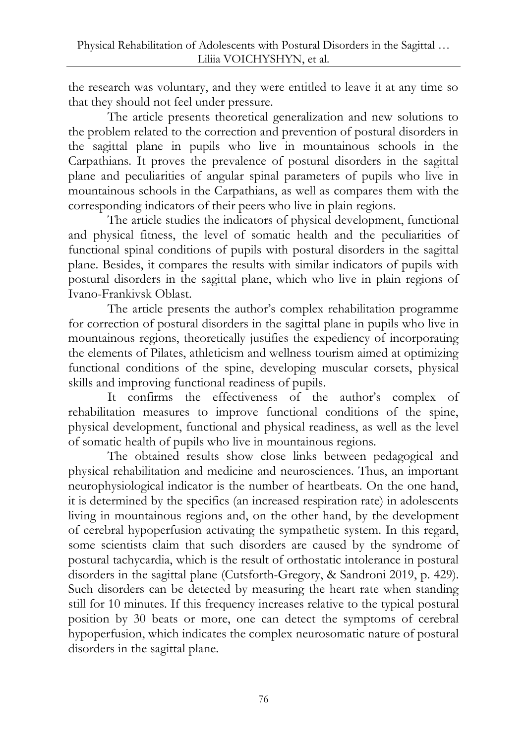the research was voluntary, and they were entitled to leave it at any time so that they should not feel under pressure.

The article presents theoretical generalization and new solutions to the problem related to the correction and prevention of postural disorders in the sagittal plane in pupils who live in mountainous schools in the Carpathians. It proves the prevalence of postural disorders in the sagittal plane and peculiarities of angular spinal parameters of pupils who live in mountainous schools in the Carpathians, as well as compares them with the corresponding indicators of their peers who live in plain regions.

The article studies the indicators of physical development, functional and physical fitness, the level of somatic health and the peculiarities of functional spinal conditions of pupils with postural disorders in the sagittal plane. Besides, it compares the results with similar indicators of pupils with postural disorders in the sagittal plane, which who live in plain regions of Ivano-Frankivsk Oblast.

The article presents the author's complex rehabilitation programme for correction of postural disorders in the sagittal plane in pupils who live in mountainous regions, theoretically justifies the expediency of incorporating the elements of Pilates, athleticism and wellness tourism aimed at optimizing functional conditions of the spine, developing muscular corsets, physical skills and improving functional readiness of pupils.

It confirms the effectiveness of the author's complex of rehabilitation measures to improve functional conditions of the spine, physical development, functional and physical readiness, as well as the level of somatic health of pupils who live in mountainous regions.

The obtained results show close links between pedagogical and physical rehabilitation and medicine and neurosciences. Thus, an important neurophysiological indicator is the number of heartbeats. On the one hand, it is determined by the specifics (an increased respiration rate) in adolescents living in mountainous regions and, on the other hand, by the development of cerebral hypoperfusion activating the sympathetic system. In this regard, some scientists claim that such disorders are caused by the syndrome of postural tachycardia, which is the result of orthostatic intolerance in postural disorders in the sagittal plane (Cutsforth-Gregory, & Sandroni 2019, p. 429). Such disorders can be detected by measuring the heart rate when standing still for 10 minutes. If this frequency increases relative to the typical postural position by 30 beats or more, one can detect the symptoms of cerebral hypoperfusion, which indicates the complex neurosomatic nature of postural disorders in the sagittal plane.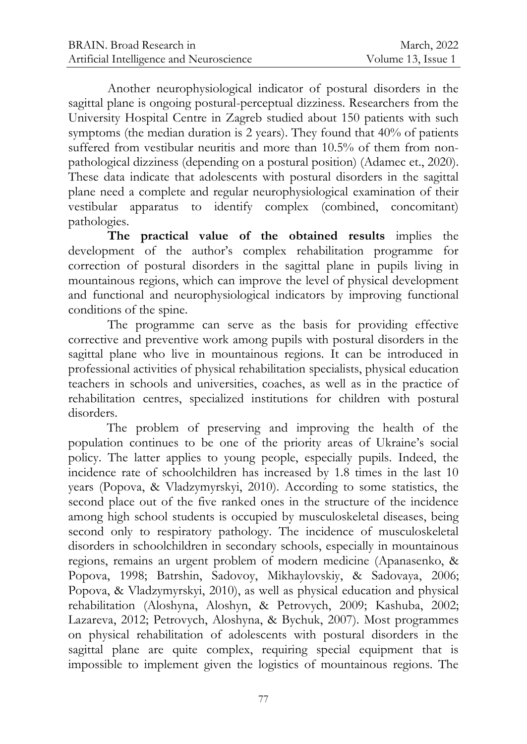Another neurophysiological indicator of postural disorders in the sagittal plane is ongoing postural-perceptual dizziness. Researchers from the University Hospital Centre in Zagreb studied about 150 patients with such symptoms (the median duration is 2 years). They found that 40% of patients suffered from vestibular neuritis and more than 10.5% of them from nonpathological dizziness (depending on a postural position) (Adamec et., 2020). These data indicate that adolescents with postural disorders in the sagittal plane need a complete and regular neurophysiological examination of their vestibular apparatus to identify complex (combined, concomitant) pathologies.

**The practical value of the obtained results** implies the development of the author's complex rehabilitation programme for correction of postural disorders in the sagittal plane in pupils living in mountainous regions, which can improve the level of physical development and functional and neurophysiological indicators by improving functional conditions of the spine.

The programme can serve as the basis for providing effective corrective and preventive work among pupils with postural disorders in the sagittal plane who live in mountainous regions. It can be introduced in professional activities of physical rehabilitation specialists, physical education teachers in schools and universities, coaches, as well as in the practice of rehabilitation centres, specialized institutions for children with postural disorders.

The problem of preserving and improving the health of the population continues to be one of the priority areas of Ukraine's social policy. The latter applies to young people, especially pupils. Indeed, the incidence rate of schoolchildren has increased by 1.8 times in the last 10 years (Popova, & Vladzymyrskyi, 2010). According to some statistics, the second place out of the five ranked ones in the structure of the incidence among high school students is occupied by musculoskeletal diseases, being second only to respiratory pathology. The incidence of musculoskeletal disorders in schoolchildren in secondary schools, especially in mountainous regions, remains an urgent problem of modern medicine (Apanasenko, & Popova, 1998; Batrshin, Sadovoy, Mikhaylovskiy, & Sadovaya, 2006; Popova, & Vladzymyrskyi, 2010), as well as physical education and physical rehabilitation (Aloshyna, Aloshyn, & Petrovych, 2009; Kashuba, 2002; Lazareva, 2012; Petrovych, Aloshyna, & Bychuk, 2007). Most programmes on physical rehabilitation of adolescents with postural disorders in the sagittal plane are quite complex, requiring special equipment that is impossible to implement given the logistics of mountainous regions. The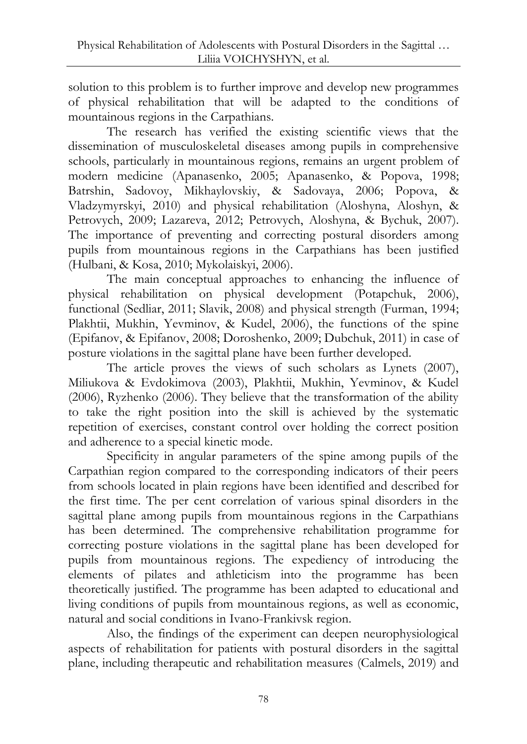solution to this problem is to further improve and develop new programmes of physical rehabilitation that will be adapted to the conditions of mountainous regions in the Carpathians.

The research has verified the existing scientific views that the dissemination of musculoskeletal diseases among pupils in comprehensive schools, particularly in mountainous regions, remains an urgent problem of modern medicine (Apanasenko, 2005; Apanasenko, & Popova, 1998; Batrshin, Sadovoy, Mikhaylovskiy, & Sadovaya, 2006; Popova, & Vladzymyrskyi, 2010) and physical rehabilitation (Aloshyna, Aloshyn, & Petrovych, 2009; Lazareva, 2012; Petrovych, Aloshyna, & Bychuk, 2007). The importance of preventing and correcting postural disorders among pupils from mountainous regions in the Carpathians has been justified (Hulbani, & Kosa, 2010; Mykolaiskyi, 2006).

The main conceptual approaches to enhancing the influence of physical rehabilitation on physical development (Potapchuk, 2006), functional (Sedliar, 2011; Slavik, 2008) and physical strength (Furman, 1994; Plakhtii, Mukhin, Yevminov, & Kudel, 2006), the functions of the spine (Epifanov, & Epifanov, 2008; Doroshenko, 2009; Dubchuk, 2011) in case of posture violations in the sagittal plane have been further developed.

The article proves the views of such scholars as Lynets (2007), Miliukova & Evdokimova (2003), Plakhtii, Mukhin, Yevminov, & Kudel (2006), Ryzhenko (2006). They believe that the transformation of the ability to take the right position into the skill is achieved by the systematic repetition of exercises, constant control over holding the correct position and adherence to a special kinetic mode.

Specificity in angular parameters of the spine among pupils of the Carpathian region compared to the corresponding indicators of their peers from schools located in plain regions have been identified and described for the first time. The per cent correlation of various spinal disorders in the sagittal plane among pupils from mountainous regions in the Carpathians has been determined. The comprehensive rehabilitation programme for correcting posture violations in the sagittal plane has been developed for pupils from mountainous regions. The expediency of introducing the elements of pilates and athleticism into the programme has been theoretically justified. The programme has been adapted to educational and living conditions of pupils from mountainous regions, as well as economic, natural and social conditions in Ivano-Frankivsk region.

Also, the findings of the experiment can deepen neurophysiological aspects of rehabilitation for patients with postural disorders in the sagittal plane, including therapeutic and rehabilitation measures (Calmels, 2019) and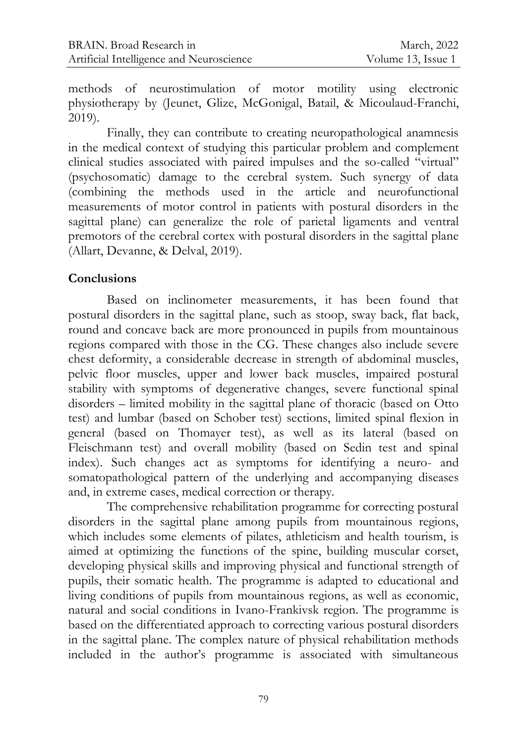methods of neurostimulation of motor motility using electronic physiotherapy by (Jeunet, Glize, McGonigal, Batail, & Micoulaud-Franchi, 2019).

Finally, they can contribute to creating neuropathological anamnesis in the medical context of studying this particular problem and complement clinical studies associated with paired impulses and the so-called "virtual" (psychosomatic) damage to the cerebral system. Such synergy of data (combining the methods used in the article and neurofunctional measurements of motor control in patients with postural disorders in the sagittal plane) can generalize the role of parietal ligaments and ventral premotors of the cerebral cortex with postural disorders in the sagittal plane (Allart, Devanne, & Delval, 2019).

### **Conclusions**

Based on inclinometer measurements, it has been found that postural disorders in the sagittal plane, such as stoop, sway back, flat back, round and concave back are more pronounced in pupils from mountainous regions compared with those in the CG. These changes also include severe chest deformity, a considerable decrease in strength of abdominal muscles, pelvic floor muscles, upper and lower back muscles, impaired postural stability with symptoms of degenerative changes, severe functional spinal disorders – limited mobility in the sagittal plane of thoracic (based on Otto test) and lumbar (based on Schober test) sections, limited spinal flexion in general (based on Thomayer test), as well as its lateral (based on Fleischmann test) and overall mobility (based on Sedin test and spinal index). Such changes act as symptoms for identifying a neuro- and somatopathological pattern of the underlying and accompanying diseases and, in extreme cases, medical correction or therapy.

The comprehensive rehabilitation programme for correcting postural disorders in the sagittal plane among pupils from mountainous regions, which includes some elements of pilates, athleticism and health tourism, is aimed at optimizing the functions of the spine, building muscular corset, developing physical skills and improving physical and functional strength of pupils, their somatic health. The programme is adapted to educational and living conditions of pupils from mountainous regions, as well as economic, natural and social conditions in Ivano-Frankivsk region. The programme is based on the differentiated approach to correcting various postural disorders in the sagittal plane. The complex nature of physical rehabilitation methods included in the author's programme is associated with simultaneous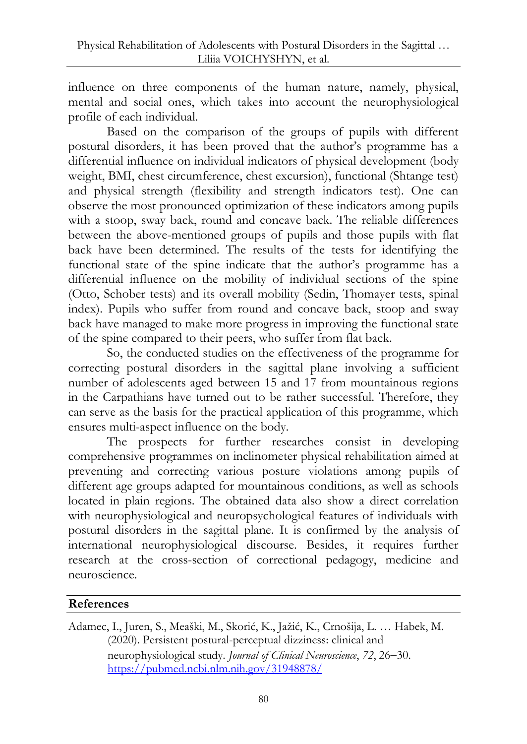influence on three components of the human nature, namely, physical, mental and social ones, which takes into account the neurophysiological profile of each individual.

Based on the comparison of the groups of pupils with different postural disorders, it has been proved that the author's programme has a differential influence on individual indicators of physical development (body weight, BMI, chest circumference, chest excursion), functional (Shtange test) and physical strength (flexibility and strength indicators test). One can observe the most pronounced optimization of these indicators among pupils with a stoop, sway back, round and concave back. The reliable differences between the above-mentioned groups of pupils and those pupils with flat back have been determined. The results of the tests for identifying the functional state of the spine indicate that the author's programme has a differential influence on the mobility of individual sections of the spine (Otto, Schober tests) and its overall mobility (Sedin, Thomayer tests, spinal index). Pupils who suffer from round and concave back, stoop and sway back have managed to make more progress in improving the functional state of the spine compared to their peers, who suffer from flat back.

So, the conducted studies on the effectiveness of the programme for correcting postural disorders in the sagittal plane involving a sufficient number of adolescents aged between 15 and 17 from mountainous regions in the Carpathians have turned out to be rather successful. Therefore, they can serve as the basis for the practical application of this programme, which ensures multi-aspect influence on the body.

The prospects for further researches consist in developing comprehensive programmes on inclinometer physical rehabilitation aimed at preventing and correcting various posture violations among pupils of different age groups adapted for mountainous conditions, as well as schools located in plain regions. The obtained data also show a direct correlation with neurophysiological and neuropsychological features of individuals with postural disorders in the sagittal plane. It is confirmed by the analysis of international neurophysiological discourse. Besides, it requires further research at the cross-section of correctional pedagogy, medicine and neuroscience.

#### **References**

Adamec, I., Juren, S., Meaški, M., Skorić, K., Jažić, K., Crnošija, L. … Habek, M. (2020). Persistent postural-perceptual dizziness: clinical and neurophysiological study. *Journal of Clinical Neuroscience*, 72, 26-30. <https://pubmed.ncbi.nlm.nih.gov/31948878/>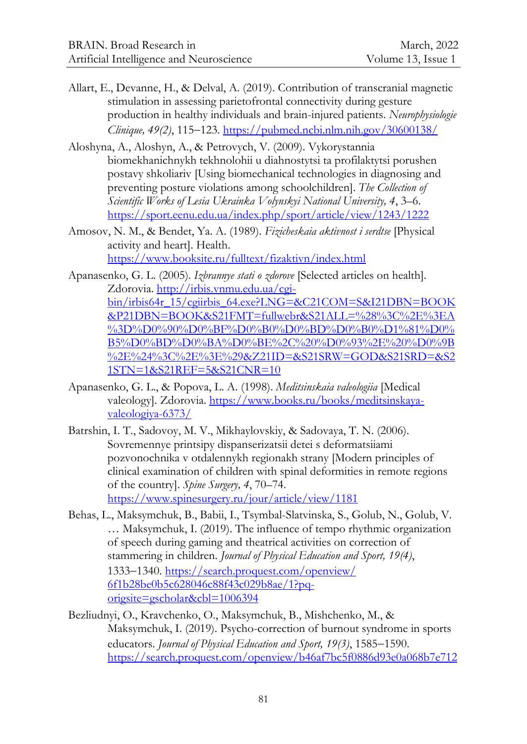- Allart, E., Devanne, H., & Delval, A. (2019). Contribution of transcranial magnetic stimulation in assessing parietofrontal connectivity during gesture production in healthy individuals and brain-injured patients. *Neurophysiologie Clinique, 49(2), 115–123.<https://pubmed.ncbi.nlm.nih.gov/30600138/>*
- Aloshyna, A., Aloshyn, A., & Petrovych, V. (2009). Vykorystannia biomekhanichnykh tekhnolohii u diahnostytsi ta profilaktytsi porushen postavy shkoliariv [Using biomechanical technologies in diagnosing and preventing posture violations among schoolchildren]. *The Collection of Scientific Works of Lesia Ukrainka Volynskyi National University, 4*, 3–6. <https://sport.eenu.edu.ua/index.php/sport/article/view/1243/1222>
- Amosov, N. M., & Bendet, Ya. A. (1989). *Fizicheskaia aktivnost i serdtse* [Physical activity and heart]. Health. <https://www.booksite.ru/fulltext/fizaktivn/index.html>

Apanasenko, G. L. (2005). *Izbrannye stati o zdorove* [Selected articles on health]. Zdorovia. [http://irbis.vnmu.edu.ua/cgi](http://irbis.vnmu.edu.ua/cgi-bin/irbis64r_15/cgiirbis_64.exe?LNG=&C21COM=S&I21DBN=BOOK&P21DBN=BOOK&S21FMT=fullwebr&S21ALL=%28%3C%2E%3EA%3D%D0%90%D0%BF%D0%B0%D0%BD%D0%B0%D1%81%D0%B5%D0%BD%D0%BA%D0%BE%2C%20%D0%93%2E%20%D0%9B%2E%24%3C%2E%3E%29&Z21ID=&S21SRW=GOD&S21SRD=&S21STN=1&S21REF=5&S21CNR=10)[bin/irbis64r\\_15/cgiirbis\\_64.exe?LNG=&C21COM=S&I21DBN=BOOK](http://irbis.vnmu.edu.ua/cgi-bin/irbis64r_15/cgiirbis_64.exe?LNG=&C21COM=S&I21DBN=BOOK&P21DBN=BOOK&S21FMT=fullwebr&S21ALL=%28%3C%2E%3EA%3D%D0%90%D0%BF%D0%B0%D0%BD%D0%B0%D1%81%D0%B5%D0%BD%D0%BA%D0%BE%2C%20%D0%93%2E%20%D0%9B%2E%24%3C%2E%3E%29&Z21ID=&S21SRW=GOD&S21SRD=&S21STN=1&S21REF=5&S21CNR=10) [&P21DBN=BOOK&S21FMT=fullwebr&S21ALL=%28%3C%2E%3EA](http://irbis.vnmu.edu.ua/cgi-bin/irbis64r_15/cgiirbis_64.exe?LNG=&C21COM=S&I21DBN=BOOK&P21DBN=BOOK&S21FMT=fullwebr&S21ALL=%28%3C%2E%3EA%3D%D0%90%D0%BF%D0%B0%D0%BD%D0%B0%D1%81%D0%B5%D0%BD%D0%BA%D0%BE%2C%20%D0%93%2E%20%D0%9B%2E%24%3C%2E%3E%29&Z21ID=&S21SRW=GOD&S21SRD=&S21STN=1&S21REF=5&S21CNR=10) [%3D%D0%90%D0%BF%D0%B0%D0%BD%D0%B0%D1%81%D0%](http://irbis.vnmu.edu.ua/cgi-bin/irbis64r_15/cgiirbis_64.exe?LNG=&C21COM=S&I21DBN=BOOK&P21DBN=BOOK&S21FMT=fullwebr&S21ALL=%28%3C%2E%3EA%3D%D0%90%D0%BF%D0%B0%D0%BD%D0%B0%D1%81%D0%B5%D0%BD%D0%BA%D0%BE%2C%20%D0%93%2E%20%D0%9B%2E%24%3C%2E%3E%29&Z21ID=&S21SRW=GOD&S21SRD=&S21STN=1&S21REF=5&S21CNR=10) [B5%D0%BD%D0%BA%D0%BE%2C%20%D0%93%2E%20%D0%9B](http://irbis.vnmu.edu.ua/cgi-bin/irbis64r_15/cgiirbis_64.exe?LNG=&C21COM=S&I21DBN=BOOK&P21DBN=BOOK&S21FMT=fullwebr&S21ALL=%28%3C%2E%3EA%3D%D0%90%D0%BF%D0%B0%D0%BD%D0%B0%D1%81%D0%B5%D0%BD%D0%BA%D0%BE%2C%20%D0%93%2E%20%D0%9B%2E%24%3C%2E%3E%29&Z21ID=&S21SRW=GOD&S21SRD=&S21STN=1&S21REF=5&S21CNR=10) [%2E%24%3C%2E%3E%29&Z21ID=&S21SRW=GOD&S21SRD=&S2](http://irbis.vnmu.edu.ua/cgi-bin/irbis64r_15/cgiirbis_64.exe?LNG=&C21COM=S&I21DBN=BOOK&P21DBN=BOOK&S21FMT=fullwebr&S21ALL=%28%3C%2E%3EA%3D%D0%90%D0%BF%D0%B0%D0%BD%D0%B0%D1%81%D0%B5%D0%BD%D0%BA%D0%BE%2C%20%D0%93%2E%20%D0%9B%2E%24%3C%2E%3E%29&Z21ID=&S21SRW=GOD&S21SRD=&S21STN=1&S21REF=5&S21CNR=10) [1STN=1&S21REF=5&S21CNR=10](http://irbis.vnmu.edu.ua/cgi-bin/irbis64r_15/cgiirbis_64.exe?LNG=&C21COM=S&I21DBN=BOOK&P21DBN=BOOK&S21FMT=fullwebr&S21ALL=%28%3C%2E%3EA%3D%D0%90%D0%BF%D0%B0%D0%BD%D0%B0%D1%81%D0%B5%D0%BD%D0%BA%D0%BE%2C%20%D0%93%2E%20%D0%9B%2E%24%3C%2E%3E%29&Z21ID=&S21SRW=GOD&S21SRD=&S21STN=1&S21REF=5&S21CNR=10)

- Apanasenko, G. L., & Popova, L. A. (1998). *Meditsinskaia valeologiia* [Medical valeology]. Zdorovia. [https://www.books.ru/books/meditsinskaya](https://www.books.ru/books/meditsinskaya-valeologiya-6373/)[valeologiya-6373/](https://www.books.ru/books/meditsinskaya-valeologiya-6373/)
- Batrshin, I. T., Sadovoy, M. V., Mikhaylovskiy, & Sadovaya, T. N. (2006). Sovremennye printsipy dispanserizatsii detei s deformatsiiami pozvonochnika v otdalennykh regionakh strany [Modern principles of clinical examination of children with spinal deformities in remote regions of the country]. *Spine Surgery, 4*, 70–74. <https://www.spinesurgery.ru/jour/article/view/1181>
- Behas, L., Maksymchuk, B., Babii, I., Tsymbal-Slatvinska, S., Golub, N., Golub, V. … Maksymchuk, I. (2019). The influence of tempo rhythmic organization of speech during gaming and theatrical activities on correction of stammering in children. *Journal of Physical Education and Sport, 19(4)*, 13331340. [https://search.proquest.com/openview/](https://search.proquest.com/openview/%0b6f1b28be0b5c628046c88f43c029b8ae/1?pq-origsite=gscholar&cbl=1006394) [6f1b28be0b5c628046c88f43c029b8ae/1?pq](https://search.proquest.com/openview/%0b6f1b28be0b5c628046c88f43c029b8ae/1?pq-origsite=gscholar&cbl=1006394)[origsite=gscholar&cbl=1006394](https://search.proquest.com/openview/%0b6f1b28be0b5c628046c88f43c029b8ae/1?pq-origsite=gscholar&cbl=1006394)
- Bezliudnyi, O., Kravchenko, O., Maksymchuk, B., Mishchenko, M., & Maksymchuk, I. (2019). Psycho-correction of burnout syndrome in sports educators. *Journal of Physical Education and Sport, 19(3)*, 1585–1590. [https://search.proquest.com/openview/b46af7bc5f0886d93e0a068b7e712](https://search.proquest.com/openview/b46af7bc5f0886d93e0a068b7e712cf5/1?pq-origsite=gscholar&cbl=1006394#:~:text=The%20programme%20of%20burnout%20syndrome,and%20increasing%20their%20emotional%20stability)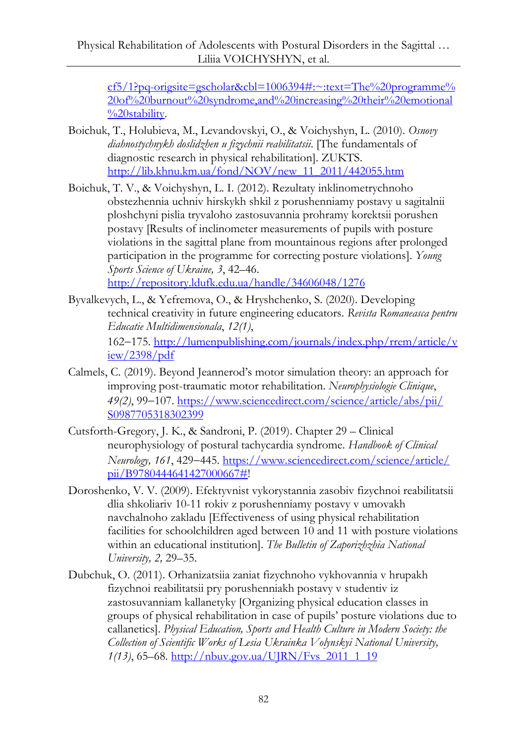[cf5/1?pq-origsite=gscholar&cbl=1006394#:~:text=The%20programme%](https://search.proquest.com/openview/b46af7bc5f0886d93e0a068b7e712cf5/1?pq-origsite=gscholar&cbl=1006394#:~:text=The%20programme%20of%20burnout%20syndrome,and%20increasing%20their%20emotional%20stability) [20of%20burnout%20syndrome,and%20increasing%20their%20emotional](https://search.proquest.com/openview/b46af7bc5f0886d93e0a068b7e712cf5/1?pq-origsite=gscholar&cbl=1006394#:~:text=The%20programme%20of%20burnout%20syndrome,and%20increasing%20their%20emotional%20stability) [%20stability.](https://search.proquest.com/openview/b46af7bc5f0886d93e0a068b7e712cf5/1?pq-origsite=gscholar&cbl=1006394#:~:text=The%20programme%20of%20burnout%20syndrome,and%20increasing%20their%20emotional%20stability)

- Boichuk, T., Holubieva, M., Levandovskyi, O., & Voichyshyn, L. (2010). *Osnovy diahnostychnykh doslidzhen u fizychnii reabilitatsii*. [The fundamentals of diagnostic research in physical rehabilitation]. ZUKTS. [http://lib.khnu.km.ua/fond/NOV/new\\_11\\_2011/442055.htm](http://lib.khnu.km.ua/fond/NOV/new_11_2011/442055.htm)
- Boichuk, T. V., & Voichyshyn, L. I. (2012). Rezultaty inklinometrychnoho obstezhennia uchniv hirskykh shkil z porushenniamy postavy u sagitalnii ploshchyni pislia tryvaloho zastosuvannia prohramy korektsii porushen postavy [Results of inclinometer measurements of pupils with posture violations in the sagittal plane from mountainous regions after prolonged participation in the programme for correcting posture violations]. *Young Sports Science of Ukraine, 3*, 42–46. <http://repository.ldufk.edu.ua/handle/34606048/1276>
- Byvalkevych, L., & Yefremova, O., & Hryshchenko, S. (2020). Developing technical creativity in future engineering educators. *Revista Romaneasca pentru Educatie Multidimensionala*, *12(1)*, 162175. [http://lumenpublishing.com/journals/index.php/rrem/article/v](http://lumenpublishing.com/journals/index.php/rrem/article/view/2398/pdf) [iew/2398/pdf](http://lumenpublishing.com/journals/index.php/rrem/article/view/2398/pdf)
- Calmels, C. (2019). Beyond Jeannerod's motor simulation theory: an approach for improving post-traumatic motor rehabilitation. *Neurophysiologie Clinique*, *49(2)*, 99–107. [https://www.sciencedirect.com/science/article/abs/pii/](https://www.sciencedirect.com/science/article/abs/pii/%0bS0987705318302399) [S0987705318302399](https://www.sciencedirect.com/science/article/abs/pii/%0bS0987705318302399)
- [Cutsforth-Gregory,](https://www.sciencedirect.com/science/article/pii/B9780444641427000667#!) J. K., & [Sandroni,](https://www.sciencedirect.com/science/article/pii/B9780444641427000667#!) P. (2019). Chapter 29 Clinical neurophysiology of postural tachycardia syndrome. *Handbook of Clinical Neurology, 161*, 429445. [https://www.sciencedirect.com/science/article/](https://www.sciencedirect.com/science/article/%0bpii/B9780444641427000667) [pii/B9780444641427000667#!](https://www.sciencedirect.com/science/article/%0bpii/B9780444641427000667)
- Doroshenko, V. V. (2009). Efektyvnist vykorystannia zasobiv fizychnoi reabilitatsii dlia shkoliariv 10-11 rokiv z porushenniamy postavy v umovakh navchalnoho zakladu [Effectiveness of using physical rehabilitation facilities for schoolchildren aged between 10 and 11 with posture violations within an educational institution]. *The Bulletin of Zaporizhzhia National University, 2,* 29–35.
- Dubchuk, O. (2011). Orhanizatsiia zaniat fizychnoho vykhovannia v hrupakh fizychnoi reabilitatsii pry porushenniakh postavy v studentiv iz zastosuvanniam kallanetyky [Organizing physical education classes in groups of physical rehabilitation in case of pupils' posture violations due to callanetics]. *Physical Education, Sports and Health Culture in Modern Society: the Collection of Scientific Works of Lesia Ukrainka Volynskyi National University, 1(13)*, 65–68. [http://nbuv.gov.ua/UJRN/Fvs\\_2011\\_1\\_19](http://nbuv.gov.ua/UJRN/Fvs_2011_1_19)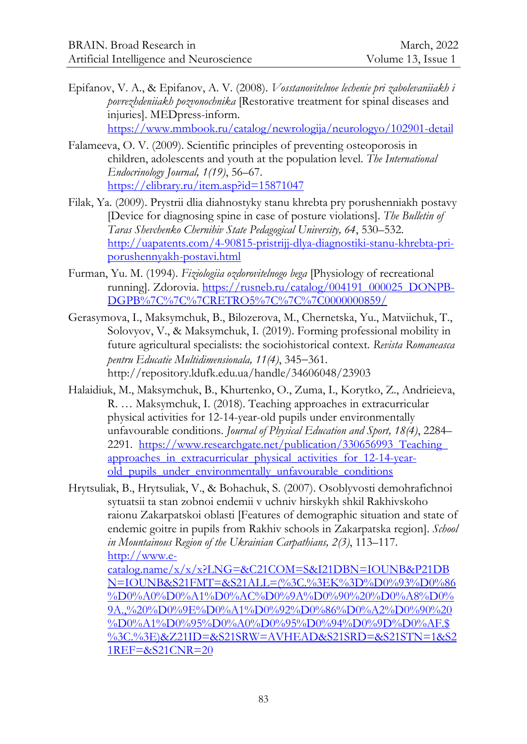- Epifanov, V. A., & Epifanov, A. V. (2008). *Vosstanovitelnoe lechenie pri zabolevaniiakh i povrezhdeniiakh pozvonochnika* [Restorative treatment for spinal diseases and injuries]. MEDpress-inform. <https://www.mmbook.ru/catalog/newrologija/neurologyo/102901-detail>
- Falameeva, O. V. (2009). Scientific principles of preventing osteoporosis in children, adolescents and youth at the population level. *The International Endocrinology Journal, 1(19)*, 56–67. <https://elibrary.ru/item.asp?id=15871047>
- Filak, Ya. (2009). Prystrii dlia diahnostyky stanu khrebta pry porushenniakh postavy [Device for diagnosing spine in case of posture violations]. *The Bulletin of Taras Shevchenko Chernihiv State Pedagogical University, 64*, 530–532. [http://uapatents.com/4-90815-pristrijj-dlya-diagnostiki-stanu-khrebta-pri](http://uapatents.com/4-90815-pristrijj-dlya-diagnostiki-stanu-khrebta-pri-porushennyakh-postavi.html)[porushennyakh-postavi.html](http://uapatents.com/4-90815-pristrijj-dlya-diagnostiki-stanu-khrebta-pri-porushennyakh-postavi.html)
- Furman, Yu. M. (1994). *Fiziologiia ozdorovitelnogo bega* [Physiology of recreational running]. Zdorovia. [https://rusneb.ru/catalog/004191\\_000025\\_DONPB-](https://rusneb.ru/catalog/004191_000025_DONPB-DGPB%7C%7C%7CRETRO5%7C%7C%7C0000000859/)[DGPB%7C%7C%7CRETRO5%7C%7C%7C0000000859/](https://rusneb.ru/catalog/004191_000025_DONPB-DGPB%7C%7C%7CRETRO5%7C%7C%7C0000000859/)
- Gerasymova, I., Maksymchuk, B., Bilozerova, M., Chernetska, Yu., Matviichuk, T., Solovyov, V., & Maksymchuk, I. (2019). Forming professional mobility in future agricultural specialists: the sociohistorical context. *Revista Romaneasca pentru Educatie Multidimensionala, 11(4), 345–361.* http://repository.ldufk.edu.ua/handle/34606048/23903
- Halaidiuk, M., Maksymchuk, B., Khurtenko, O., Zuma, I., Korytko, Z., Andrieieva, R. … Maksymchuk, I. (2018). Teaching approaches in extracurricular physical activities for 12-14-year-old pupils under environmentally unfavourable conditions. *Journal of Physical Education and Sport, 18(4)*, 2284– 2291. https://www.researchgate.net/publication/330656993\_Teaching [approaches\\_in\\_extracurricular\\_physical\\_activities\\_for\\_12-14-year](https://www.researchgate.net/publication/330656993_Teaching_%0bapproaches_in_extracurricular_physical_activities_for_12-14-year-old_pupils_under_environmentally_unfavourable_conditions)[old\\_pupils\\_under\\_environmentally\\_unfavourable\\_conditions](https://www.researchgate.net/publication/330656993_Teaching_%0bapproaches_in_extracurricular_physical_activities_for_12-14-year-old_pupils_under_environmentally_unfavourable_conditions)
- Hrytsuliak, B., Hrytsuliak, V., & Bohachuk, S. (2007). Osoblyvosti demohrafichnoi sytuatsii ta stan zobnoi endemii v uchniv hirskykh shkil Rakhivskoho raionu Zakarpatskoi oblasti [Features of demographic situation and state of endemiс goitre in pupils from Rakhiv schools in Zakarpatska region]. *School in Mountainous Region of the Ukrainian Carpathians, 2(3)*, 113–117. [http://www.e-](http://www.e-catalog.name/x/x/x?LNG=&C21COM=S&I21DBN=IOUNB&P21DBN=IOUNB&S21FMT=&S21ALL=(%3C.%3EK%3D%D0%93%D0%86%D0%A0%D0%A1%D0%AC%D0%9A%D0%90%20%D0%A8%D0%9A.,%20%D0%9E%D0%A1%D0%92%D0%86%D0%A2%D0%90%20%D0%A1%D0%95%D0%A0%D0%95%D0%94%D0%9D%D0%AF.$%3C.%3E)&Z21ID=&S21SRW=AVHEAD&S21SRD=&S21STN=1&S21REF=&S21CNR=20)

```
catalog.name/x/x/x?LNG=&C21COM=S&I21DBN=IOUNB&P21DB
N=IOUNB&S21FMT=&S21ALL=(%3C.%3EK%3D%D0%93%D0%86
%D0%A0%D0%A1%D0%AC%D0%9A%D0%90%20%D0%A8%D0%
9A.,%20%D0%9E%D0%A1%D0%92%D0%86%D0%A2%D0%90%20
%D0%A1%D0%95%D0%A0%D0%95%D0%94%D0%9D%D0%AF.$
%3C.%3E)&Z21ID=&S21SRW=AVHEAD&S21SRD=&S21STN=1&S2
1REF=&S21CNR=20
```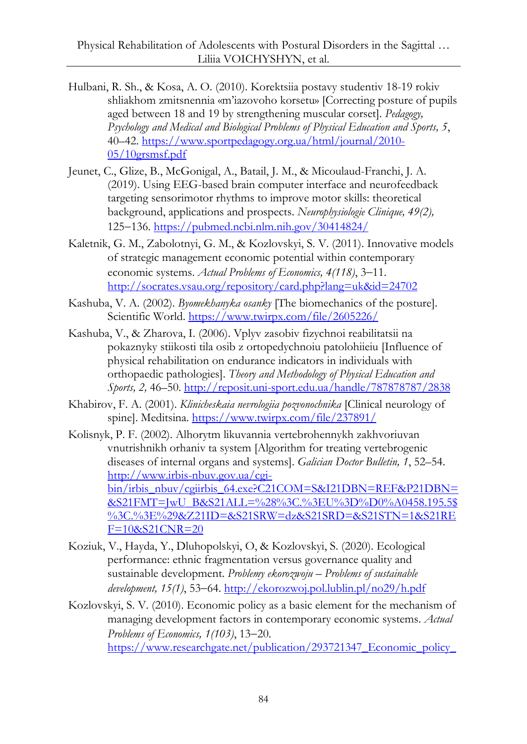- Hulbani, R. Sh., & Kosa, A. O. (2010). Korektsiia postavy studentiv 18-19 rokiv shliakhom zmitsnennia «m'iazovoho korsetu» [Correcting posture of pupils aged between 18 and 19 by strengthening muscular corset]. *Pedagogy, Psychology and Medical and Biological Problems of Physical Education and Sports, 5*, 40–42. [https://www.sportpedagogy.org.ua/html/journal/2010-](https://www.sportpedagogy.org.ua/html/journal/2010-05/10grsmsf.pdf) [05/10grsmsf.pdf](https://www.sportpedagogy.org.ua/html/journal/2010-05/10grsmsf.pdf)
- Jeunet, C., Glize, B., McGonigal, A., Batail, J. M., & Micoulaud-Franchi, J. A. (2019). Using EEG-based brain computer interface and neurofeedback targeting sensorimotor rhythms to improve motor skills: theoretical background, applications and prospects. *Neurophysiologie Clinique, 49(2),*  125136.<https://pubmed.ncbi.nlm.nih.gov/30414824/>
- Kaletnik, G. M., Zabolotnyi, G. M., & Kozlovskyi, S. V. (2011). Innovative models of strategic management economic potential within contemporary economic systems. *Actual Problems of Economics*, 4(118), 3-11. <http://socrates.vsau.org/repository/card.php?lang=uk&id=24702>
- Kashuba, V. A. (2002). *Byomekhanyka osanky* [The biomechanics of the posture]. Scientific World. <https://www.twirpx.com/file/2605226/>
- Kashuba, V., & Zharova, I. (2006). Vplyv zasobiv fizychnoi reabilitatsii na pokaznyky stiikosti tila osib z ortopedychnoiu patolohiieiu [Influence of physical rehabilitation on endurance indicators in individuals with orthopaedic pathologies]. *Theory and Methodology of Physical Education and Sports, 2,* 46–50. <http://reposit.uni-sport.edu.ua/handle/787878787/2838>
- Khabirov, F. A. (2001). *Klinicheskaia nevrologiia pozvonochnika* [Clinical neurology of spine]. Meditsina. <https://www.twirpx.com/file/237891/>
- Kolisnyk, P. F. (2002). Alhorytm likuvannia vertebrohennykh zakhvoriuvan vnutrishnikh orhaniv ta system [Algorithm for treating vertebrogenic diseases of internal organs and systems]. *Galician Doctor Bulletin, 1*, 52–54. [http://www.irbis-nbuv.gov.ua/cgi](http://www.irbis-nbuv.gov.ua/cgi-bin/irbis_nbuv/cgiirbis_64.exe?C21COM=S&I21DBN=REF&P21DBN=&S21FMT=JwU_B&S21ALL=%28%3C.%3EU%3D%D0%A0458.195.5$%3C.%3E%29&Z21ID=&S21SRW=dz&S21SRD=&S21STN=1&S21REF=10&S21CNR=20)[bin/irbis\\_nbuv/cgiirbis\\_64.exe?C21COM=S&I21DBN=REF&P21DBN=](http://www.irbis-nbuv.gov.ua/cgi-bin/irbis_nbuv/cgiirbis_64.exe?C21COM=S&I21DBN=REF&P21DBN=&S21FMT=JwU_B&S21ALL=%28%3C.%3EU%3D%D0%A0458.195.5$%3C.%3E%29&Z21ID=&S21SRW=dz&S21SRD=&S21STN=1&S21REF=10&S21CNR=20) [&S21FMT=JwU\\_B&S21ALL=%28%3C.%3EU%3D%D0%A0458.195.5\\$](http://www.irbis-nbuv.gov.ua/cgi-bin/irbis_nbuv/cgiirbis_64.exe?C21COM=S&I21DBN=REF&P21DBN=&S21FMT=JwU_B&S21ALL=%28%3C.%3EU%3D%D0%A0458.195.5$%3C.%3E%29&Z21ID=&S21SRW=dz&S21SRD=&S21STN=1&S21REF=10&S21CNR=20) [%3C.%3E%29&Z21ID=&S21SRW=dz&S21SRD=&S21STN=1&S21RE](http://www.irbis-nbuv.gov.ua/cgi-bin/irbis_nbuv/cgiirbis_64.exe?C21COM=S&I21DBN=REF&P21DBN=&S21FMT=JwU_B&S21ALL=%28%3C.%3EU%3D%D0%A0458.195.5$%3C.%3E%29&Z21ID=&S21SRW=dz&S21SRD=&S21STN=1&S21REF=10&S21CNR=20) [F=10&S21CNR=20](http://www.irbis-nbuv.gov.ua/cgi-bin/irbis_nbuv/cgiirbis_64.exe?C21COM=S&I21DBN=REF&P21DBN=&S21FMT=JwU_B&S21ALL=%28%3C.%3EU%3D%D0%A0458.195.5$%3C.%3E%29&Z21ID=&S21SRW=dz&S21SRD=&S21STN=1&S21REF=10&S21CNR=20)
- Koziuk, V., Hayda, Y., Dluhopolskyi, O, & Kozlovskyi, S. (2020). Ecological performance: ethnic fragmentation versus governance quality and sustainable development. *Problemy ekorozwoju – Problems of sustainable development, 15(1)*, 5364.<http://ekorozwoj.pol.lublin.pl/no29/h.pdf>
- Kozlovskyi, S. V. (2010). Economic policy as a basic element for the mechanism of managing development factors in contemporary economic systems. *Actual Problems of Economics, 1(103)*, 13–20. [https://www.researchgate.net/publication/293721347\\_Economic\\_policy\\_](https://www.researchgate.net/publication/293721347_Economic_policy_as_a_basic_element_for_mechanism_of_managing_development_factors_in_contemporary_economic_systems)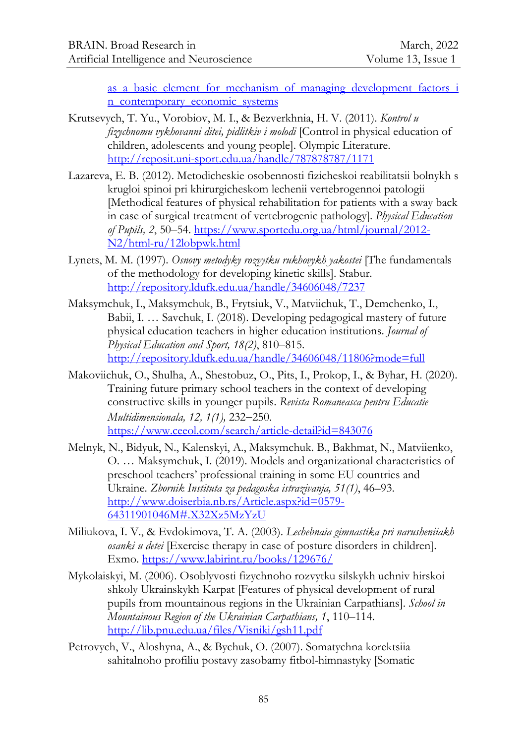as a basic element for mechanism of managing development factors i [n\\_contemporary\\_economic\\_systems](https://www.researchgate.net/publication/293721347_Economic_policy_as_a_basic_element_for_mechanism_of_managing_development_factors_in_contemporary_economic_systems)

- Krutsevych, T. Yu., Vorobiov, M. I., & Bezverkhnia, H. V. (2011). *Kontrol u fizychnomu vykhovanni ditei, pidlitkiv i molodi* [Control in physical education of children, adolescents and young people]. Olympic Literature. <http://reposit.uni-sport.edu.ua/handle/787878787/1171>
- Lazareva, E. B. (2012). Metodicheskie osobennosti fizicheskoi reabilitatsii bolnykh s krugloi spinoi pri khirurgicheskom lechenii vertebrogennoi patologii [Methodical features of physical rehabilitation for patients with a sway back in case of surgical treatment of vertebrogenic pathology]. *Physical Education of Pupils, 2*, 50–54. [https://www.sportedu.org.ua/html/journal/2012-](https://www.sportedu.org.ua/html/journal/2012-N2/html-ru/12lobpwk.html) [N2/html-ru/12lobpwk.html](https://www.sportedu.org.ua/html/journal/2012-N2/html-ru/12lobpwk.html)
- Lynets, M. M. (1997). *Osnovy metodyky rozvytku rukhovykh yakostei* [The fundamentals of the methodology for developing kinetic skills]. Stabur. <http://repository.ldufk.edu.ua/handle/34606048/7237>
- Maksymchuk, I., Maksymchuk, B., Frytsiuk, V., Matviichuk, T., Demchenko, I., Babii, I. … Savchuk, I. (2018). Developing pedagogical mastery of future physical education teachers in higher education institutions. *Journal of Physical Education and Sport, 18(2)*, 810–815. <http://repository.ldufk.edu.ua/handle/34606048/11806?mode=full>
- Makoviichuk, O., Shulha, A., Shestobuz, O., Pits, I., Prokop, I., & Byhar, H. (2020). Training future primary school teachers in the context of developing constructive skills in younger pupils. *Revista Romaneasca pentru Educatie Multidimensionala, 12, 1(1), 232-250.* <https://www.ceeol.com/search/article-detail?id=843076>
- Melnyk, N., Bidyuk, N., Kalenskyi, A., Maksymchuk. B., Bakhmat, N., Matviienko, O. … Maksymchuk, I. (2019). Models and organizational characteristics of preschool teachers' professional training in some EU countries and Ukraine. *Zbornik Instituta za pedagoska istrazivanja, 51(1)*, 46–93. [http://www.doiserbia.nb.rs/Article.aspx?id=0579-](http://www.doiserbia.nb.rs/Article.aspx?id=0579-64311901046M#.X32Xz5MzYzU) [64311901046M#.X32Xz5MzYzU](http://www.doiserbia.nb.rs/Article.aspx?id=0579-64311901046M#.X32Xz5MzYzU)
- Miliukova, I. V., & Evdokimova, T. A. (2003). *Lechebnaia gimnastika pri narusheniiakh osanki u detei* [Exercise therapy in case of posture disorders in children]. Exmo. <https://www.labirint.ru/books/129676/>
- Mykolaiskyi, M. (2006). Osoblyvosti fizychnoho rozvytku silskykh uchniv hirskoi shkoly Ukrainskykh Karpat [Features of physical development of rural pupils from mountainous regions in the Ukrainian Carpathians]. *School in Mountainous Region of the Ukrainian Carpathians, 1*, 110–114. <http://lib.pnu.edu.ua/files/Visniki/gsh11.pdf>
- Petrovych, V., Aloshyna, A., & Bychuk, O. (2007). Somatychna korektsiia sahitalnoho profiliu postavy zasobamy fitbol-himnastyky [Somatic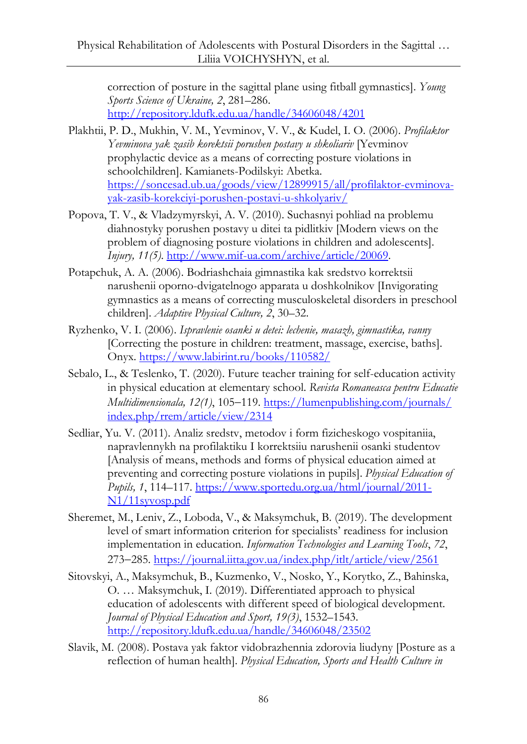correction of posture in the sagittal plane using fitball gymnastics]. *Young Sports Science of Ukraine, 2*, 281–286. <http://repository.ldufk.edu.ua/handle/34606048/4201>

- Plakhtii, P. D., Mukhin, V. M., Yevminov, V. V., & Kudel, I. O. (2006). *Profilaktor Yevminova yak zasib korektsii porushen postavy u shkoliariv* [Yevminov prophylactic device as a means of correcting posture violations in schoolchildren]. Kamianets-Podilskyi: Abetka. [https://soncesad.ub.ua/goods/view/12899915/all/profilaktor-evminova](https://soncesad.ub.ua/goods/view/12899915/all/profilaktor-evminova-yak-zasib-korekciyi-porushen-postavi-u-shkolyariv/)[yak-zasib-korekciyi-porushen-postavi-u-shkolyariv/](https://soncesad.ub.ua/goods/view/12899915/all/profilaktor-evminova-yak-zasib-korekciyi-porushen-postavi-u-shkolyariv/)
- Popova, T. V., & Vladzymyrskyi, A. V. (2010). Suchasnyi pohliad na problemu diahnostyky porushen postavy u ditei ta pidlitkiv [Modern views on the problem of diagnosing posture violations in children and adolescents]. *Injury, 11(5)*. [http://www.mif-ua.com/archive/article/20069.](http://www.mif-ua.com/archive/article/20069)
- Potapchuk, A. A. (2006). Bodriashchaia gimnastika kak sredstvo korrektsii narushenii oporno-dvigatelnogo apparata u doshkolnikov [Invigorating gymnastics as a means of correcting musculoskeletal disorders in preschool children]. *Adaptive Physical Culture, 2*, 30–32.
- Ryzhenko, V. I. (2006). *Ispravlenie osanki u detei: lechenie, masazh, gіmnastika, vanny* [Correcting the posture in children: treatment, massage, exercise, baths]. Onyx. <https://www.labirint.ru/books/110582/>
- Sebalo, L., & Teslenko, T. (2020). Future teacher training for self-education activity in physical education at elementary school. *Revista Romaneasca pentru Educatie Multidimensionala,*  $12(1)$ ,  $105-119$ . [https://lumenpublishing.com/journals/](https://lumenpublishing.com/journals/%0bindex.php/rrem/article/view/2314) [index.php/rrem/article/view/2314](https://lumenpublishing.com/journals/%0bindex.php/rrem/article/view/2314)
- Sedliar, Yu. V. (2011). Analiz sredstv, metodov i form fizicheskogo vospitaniia, napravlennykh na profilaktiku I korrektsiiu narushenii osanki studentov [Analysis of means, methods and forms of physical education aimed at preventing and correcting posture violations in pupils]. *Physical Education of Pupils, 1*, 114–117. [https://www.sportedu.org.ua/html/journal/2011-](https://www.sportedu.org.ua/html/journal/2011-N1/11syvosp.pdf) [N1/11syvosp.pdf](https://www.sportedu.org.ua/html/journal/2011-N1/11syvosp.pdf)
- Sheremet, M., Leniv, Z., Loboda, V., & Maksymchuk, B. (2019). The development level of smart information criterion for specialists' readiness for inclusion implementation in education. *Information Technologies and Learning Tools*, *72*, 273285.<https://journal.iitta.gov.ua/index.php/itlt/article/view/2561>
- Sitovskyi, A., Maksymchuk, B., Kuzmenko, V., Nosko, Y., Korytko, Z., Bahinska, O. … Maksymchuk, I. (2019). Differentiated approach to physical education of adolescents with different speed of biological development. *Journal of Physical Education and Sport, 19(3)*, 1532–1543. <http://repository.ldufk.edu.ua/handle/34606048/23502>
- Slavik, M. (2008). Postava yak faktor vidobrazhennia zdorovia liudyny [Posture as a reflection of human health]. *Physical Education, Sports and Health Culture in*